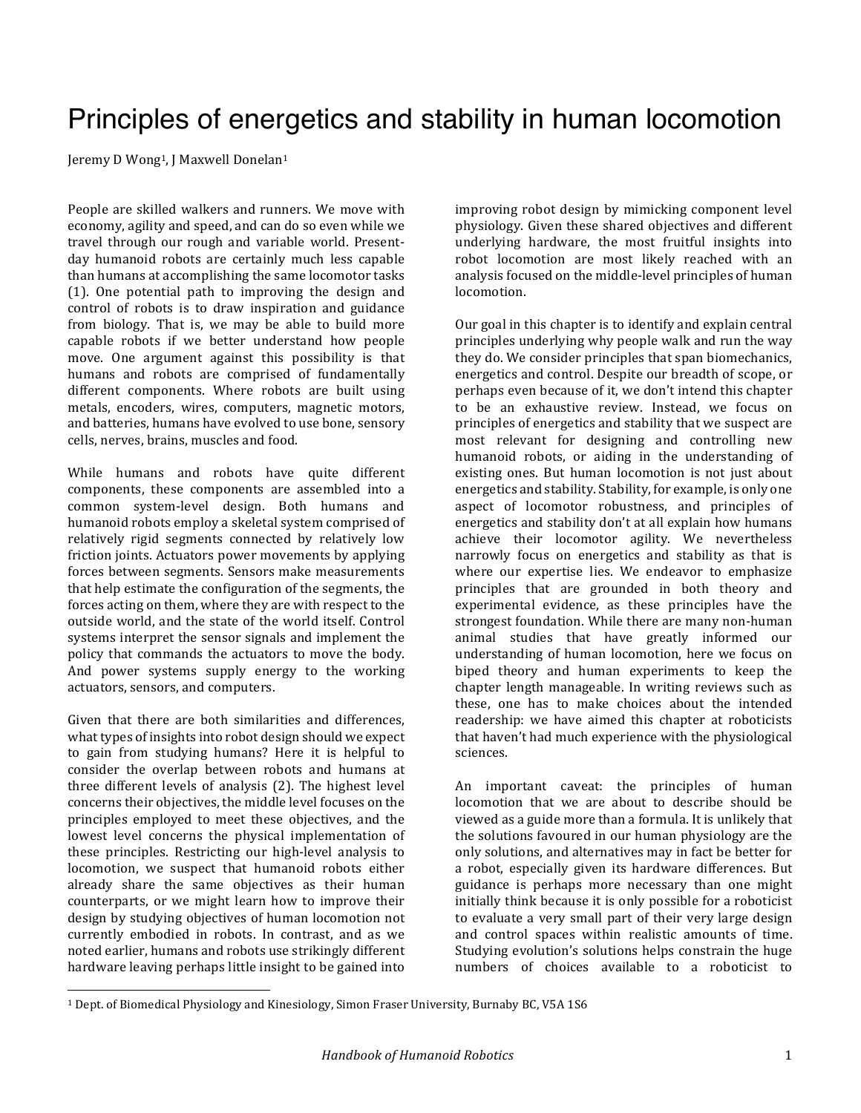# Principles of energetics and stability in human locomotion

Jeremy D Wong<sup>1</sup>, J Maxwell Donelan<sup>1</sup>

People are skilled walkers and runners. We move with economy, agility and speed, and can do so even while we travel through our rough and variable world. Presentday humanoid robots are certainly much less capable than humans at accomplishing the same locomotor tasks (1). One potential path to improving the design and control of robots is to draw inspiration and guidance from biology. That is, we may be able to build more capable robots if we better understand how people move. One argument against this possibility is that humans and robots are comprised of fundamentally different components. Where robots are built using metals, encoders, wires, computers, magnetic motors, and batteries, humans have evolved to use bone, sensory cells, nerves, brains, muscles and food.

While humans and robots have quite different components, these components are assembled into a common system-level design. Both humans and humanoid robots employ a skeletal system comprised of relatively rigid segments connected by relatively low friction joints. Actuators power movements by applying forces between segments. Sensors make measurements that help estimate the configuration of the segments, the forces acting on them, where they are with respect to the outside world, and the state of the world itself. Control systems interpret the sensor signals and implement the policy that commands the actuators to move the body. And power systems supply energy to the working actuators, sensors, and computers.

Given that there are both similarities and differences, what types of insights into robot design should we expect to gain from studying humans? Here it is helpful to consider the overlap between robots and humans at three different levels of analysis (2). The highest level concerns their objectives, the middle level focuses on the principles employed to meet these objectives, and the lowest level concerns the physical implementation of these principles. Restricting our high-level analysis to locomotion, we suspect that humanoid robots either already share the same objectives as their human counterparts, or we might learn how to improve their design by studying objectives of human locomotion not currently embodied in robots. In contrast, and as we noted earlier, humans and robots use strikingly different hardware leaving perhaps little insight to be gained into

 

improving robot design by mimicking component level physiology. Given these shared objectives and different underlying hardware, the most fruitful insights into robot locomotion are most likely reached with an analysis focused on the middle-level principles of human locomotion. 

Our goal in this chapter is to identify and explain central principles underlying why people walk and run the way they do. We consider principles that span biomechanics, energetics and control. Despite our breadth of scope, or perhaps even because of it, we don't intend this chapter to be an exhaustive review. Instead, we focus on principles of energetics and stability that we suspect are most relevant for designing and controlling new humanoid robots, or aiding in the understanding of existing ones. But human locomotion is not just about energetics and stability. Stability, for example, is only one aspect of locomotor robustness, and principles of energetics and stability don't at all explain how humans achieve their locomotor agility. We nevertheless narrowly focus on energetics and stability as that is where our expertise lies. We endeavor to emphasize principles that are grounded in both theory and experimental evidence, as these principles have the strongest foundation. While there are many non-human animal studies that have greatly informed our understanding of human locomotion, here we focus on biped theory and human experiments to keep the chapter length manageable. In writing reviews such as these, one has to make choices about the intended readership: we have aimed this chapter at roboticists that haven't had much experience with the physiological sciences. 

An important caveat: the principles of human locomotion that we are about to describe should be viewed as a guide more than a formula. It is unlikely that the solutions favoured in our human physiology are the only solutions, and alternatives may in fact be better for a robot, especially given its hardware differences. But guidance is perhaps more necessary than one might initially think because it is only possible for a roboticist to evaluate a very small part of their very large design and control spaces within realistic amounts of time. Studying evolution's solutions helps constrain the huge numbers of choices available to a roboticist to

<sup>&</sup>lt;sup>1</sup> Dept. of Biomedical Physiology and Kinesiology, Simon Fraser University, Burnaby BC, V5A 1S6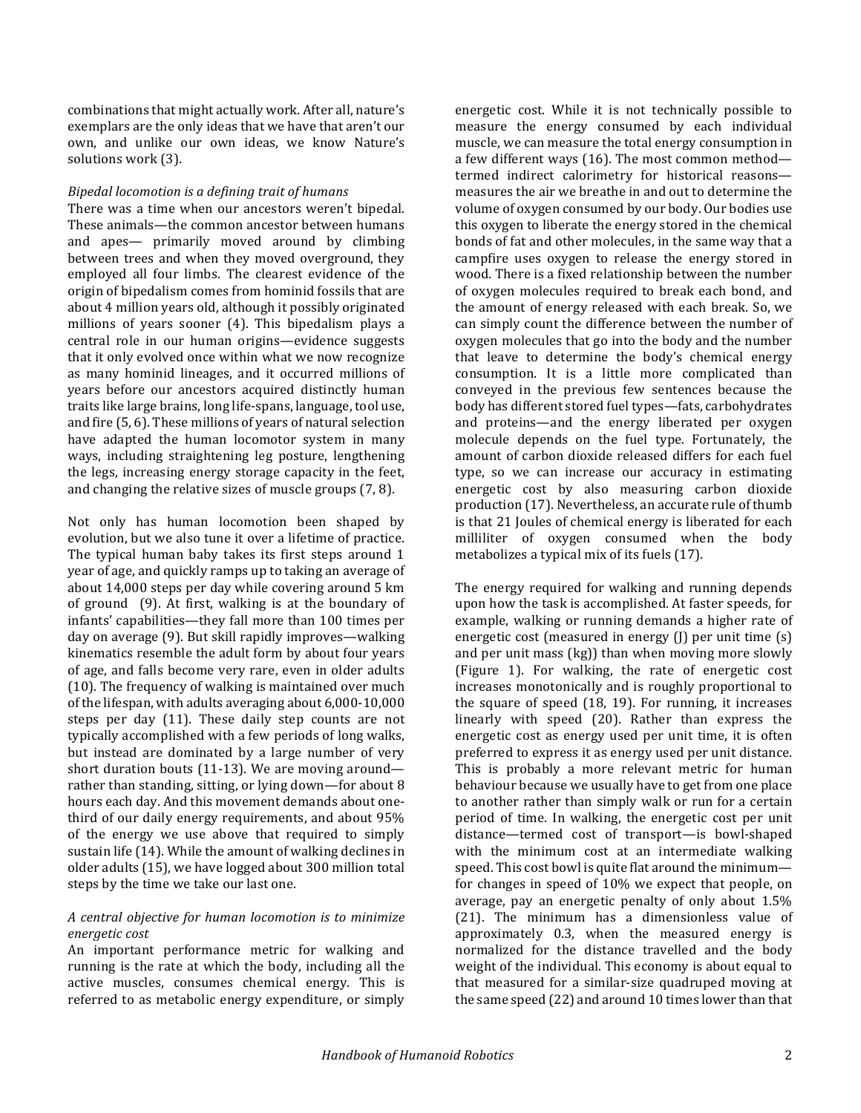combinations that might actually work. After all, nature's exemplars are the only ideas that we have that aren't our own, and unlike our own ideas, we know Nature's solutions work (3).

## *Bipedal locomotion is a defining trait of humans*

There was a time when our ancestors weren't bipedal. These animals—the common ancestor between humans and apes— primarily moved around by climbing between trees and when they moved overground, they employed all four limbs. The clearest evidence of the origin of bipedalism comes from hominid fossils that are about 4 million years old, although it possibly originated millions of years sooner (4). This bipedalism plays a central role in our human origins—evidence suggests that it only evolved once within what we now recognize as many hominid lineages, and it occurred millions of years before our ancestors acquired distinctly human traits like large brains, long life-spans, language, tool use, and fire  $(5, 6)$ . These millions of years of natural selection have adapted the human locomotor system in many ways, including straightening leg posture, lengthening the legs, increasing energy storage capacity in the feet, and changing the relative sizes of muscle groups  $(7, 8)$ .

Not only has human locomotion been shaped by evolution, but we also tune it over a lifetime of practice. The typical human baby takes its first steps around 1 year of age, and quickly ramps up to taking an average of about 14,000 steps per day while covering around 5 km of ground (9). At first, walking is at the boundary of infants' capabilities—they fall more than 100 times per day on average (9). But skill rapidly improves—walking kinematics resemble the adult form by about four years of age, and falls become very rare, even in older adults  $(10)$ . The frequency of walking is maintained over much of the lifespan, with adults averaging about 6,000-10,000 steps per day  $(11)$ . These daily step counts are not typically accomplished with a few periods of long walks, but instead are dominated by a large number of very short duration bouts  $(11-13)$ . We are moving around rather than standing, sitting, or lying down—for about  $8$ hours each day. And this movement demands about onethird of our daily energy requirements, and about 95% of the energy we use above that required to simply sustain life (14). While the amount of walking declines in older adults (15), we have logged about 300 million total steps by the time we take our last one.

## *A central objective for human locomotion is to minimize energetic cost*

An important performance metric for walking and running is the rate at which the body, including all the active muscles, consumes chemical energy. This is referred to as metabolic energy expenditure, or simply

energetic cost. While it is not technically possible to measure the energy consumed by each individual muscle, we can measure the total energy consumption in a few different ways  $(16)$ . The most common method termed indirect calorimetry for historical reasonsmeasures the air we breathe in and out to determine the volume of oxygen consumed by our body. Our bodies use this oxygen to liberate the energy stored in the chemical bonds of fat and other molecules, in the same way that a campfire uses oxygen to release the energy stored in wood. There is a fixed relationship between the number of oxygen molecules required to break each bond, and the amount of energy released with each break. So, we can simply count the difference between the number of oxygen molecules that go into the body and the number that leave to determine the body's chemical energy consumption. It is a little more complicated than conveyed in the previous few sentences because the body has different stored fuel types—fats, carbohydrates and proteins—and the energy liberated per oxygen molecule depends on the fuel type. Fortunately, the amount of carbon dioxide released differs for each fuel type, so we can increase our accuracy in estimating energetic cost by also measuring carbon dioxide production (17). Nevertheless, an accurate rule of thumb is that 21 Joules of chemical energy is liberated for each milliliter of oxygen consumed when the body metabolizes a typical mix of its fuels (17).

The energy required for walking and running depends upon how the task is accomplished. At faster speeds, for example, walking or running demands a higher rate of energetic cost (measured in energy  $($ ]) per unit time  $(s)$ and per unit mass  $(kg)$ ) than when moving more slowly (Figure 1). For walking, the rate of energetic cost increases monotonically and is roughly proportional to the square of speed  $(18, 19)$ . For running, it increases linearly with speed (20). Rather than express the energetic cost as energy used per unit time, it is often preferred to express it as energy used per unit distance. This is probably a more relevant metric for human behaviour because we usually have to get from one place to another rather than simply walk or run for a certain period of time. In walking, the energetic cost per unit distance—termed cost of transport—is bowl-shaped with the minimum cost at an intermediate walking speed. This cost bowl is quite flat around the minimum for changes in speed of  $10\%$  we expect that people, on average, pay an energetic penalty of only about  $1.5\%$ (21). The minimum has a dimensionless value of approximately 0.3, when the measured energy is normalized for the distance travelled and the body weight of the individual. This economy is about equal to that measured for a similar-size quadruped moving at the same speed  $(22)$  and around 10 times lower than that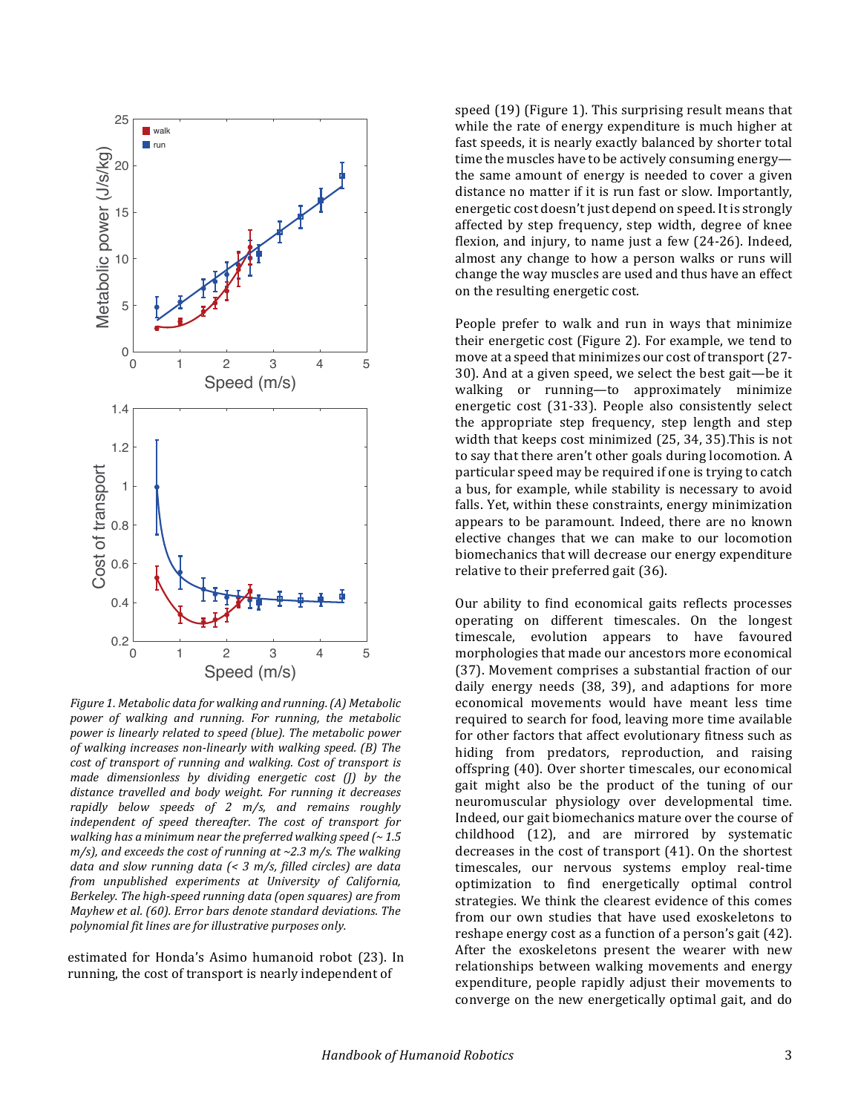

*Figure 1. Metabolic data for walking and running.* (A) Metabolic power of walking and running. For running, the metabolic *power is linearly related to speed (blue). The metabolic power of walking increases non-linearly with walking speed.* (B) The *cost of transport of running and walking. Cost of transport is made dimensionless by dividing energetic cost (J) by the*  distance travelled and body weight. For running it decreases rapidly below speeds of 2 m/s, and remains roughly independent of speed thereafter. The cost of transport for *walking has a minimum near the preferred walking speed*  $\sim 1.5$ *m/s), and exceeds the cost of running at ~2.3 m/s. The walking data and slow running data*  $\left($  < 3 m/s, filled circles) are data *from unpublished experiments at University of California, Berkeley.* The high-speed running data (open squares) are from *Mayhew et al.* (60). Error bars denote standard deviations. The polynomial fit lines are for illustrative purposes only.

estimated for Honda's Asimo humanoid robot (23). In running, the cost of transport is nearly independent of

speed  $(19)$  (Figure 1). This surprising result means that while the rate of energy expenditure is much higher at fast speeds, it is nearly exactly balanced by shorter total time the muscles have to be actively consuming energy the same amount of energy is needed to cover a given distance no matter if it is run fast or slow. Importantly, energetic cost doesn't just depend on speed. It is strongly affected by step frequency, step width, degree of knee flexion, and injury, to name just a few  $(24-26)$ . Indeed, almost any change to how a person walks or runs will change the way muscles are used and thus have an effect on the resulting energetic cost.

People prefer to walk and run in ways that minimize their energetic cost (Figure 2). For example, we tend to move at a speed that minimizes our cost of transport (27-30). And at a given speed, we select the best gait—be it walking or running—to approximately minimize energetic cost (31-33). People also consistently select the appropriate step frequency, step length and step width that keeps cost minimized  $(25, 34, 35)$ . This is not to say that there aren't other goals during locomotion. A particular speed may be required if one is trying to catch a bus, for example, while stability is necessary to avoid falls. Yet, within these constraints, energy minimization appears to be paramount. Indeed, there are no known elective changes that we can make to our locomotion biomechanics that will decrease our energy expenditure relative to their preferred gait (36).

Our ability to find economical gaits reflects processes operating on different timescales. On the longest timescale, evolution appears to have favoured morphologies that made our ancestors more economical (37). Movement comprises a substantial fraction of our daily energy needs (38, 39), and adaptions for more economical movements would have meant less time required to search for food, leaving more time available for other factors that affect evolutionary fitness such as hiding from predators, reproduction, and raising offspring (40). Over shorter timescales, our economical gait might also be the product of the tuning of our neuromuscular physiology over developmental time. Indeed, our gait biomechanics mature over the course of childhood (12), and are mirrored by systematic decreases in the cost of transport  $(41)$ . On the shortest timescales, our nervous systems employ real-time optimization to find energetically optimal control strategies. We think the clearest evidence of this comes from our own studies that have used exoskeletons to reshape energy cost as a function of a person's gait (42). After the exoskeletons present the wearer with new relationships between walking movements and energy expenditure, people rapidly adjust their movements to converge on the new energetically optimal gait, and do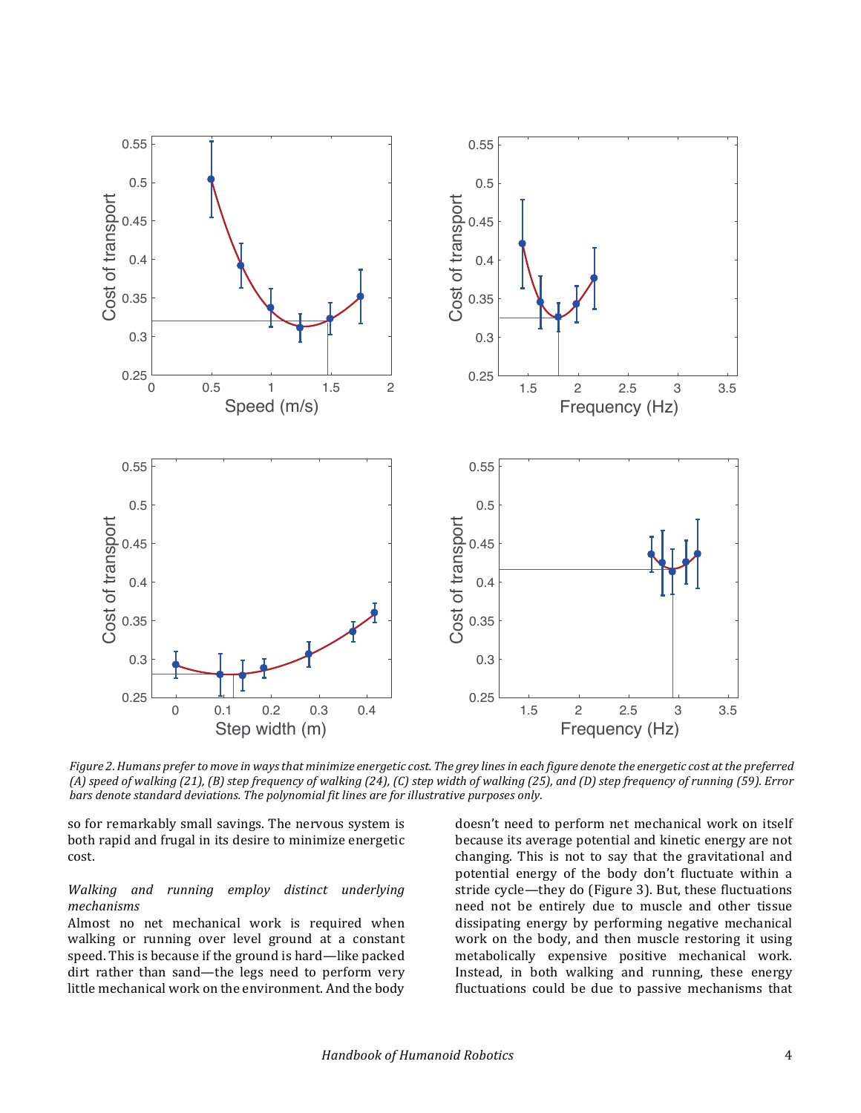

Figure 2. Humans prefer to move in ways that minimize energetic cost. The grey lines in each figure denote the energetic cost at the preferred (A) speed of walking (21), (B) step frequency of walking (24), (C) step width of walking (25), and (D) step frequency of running (59). Error bars denote standard deviations. The polynomial fit lines are for illustrative purposes only.

so for remarkably small savings. The nervous system is both rapid and frugal in its desire to minimize energetic cost. 

## *Walking and running employ distinct underlying mechanisms*

Almost no net mechanical work is required when walking or running over level ground at a constant speed. This is because if the ground is hard-like packed dirt rather than sand—the legs need to perform very little mechanical work on the environment. And the body doesn't need to perform net mechanical work on itself because its average potential and kinetic energy are not changing. This is not to say that the gravitational and potential energy of the body don't fluctuate within a stride cycle—they do (Figure 3). But, these fluctuations need not be entirely due to muscle and other tissue dissipating energy by performing negative mechanical work on the body, and then muscle restoring it using metabolically expensive positive mechanical work. Instead, in both walking and running, these energy fluctuations could be due to passive mechanisms that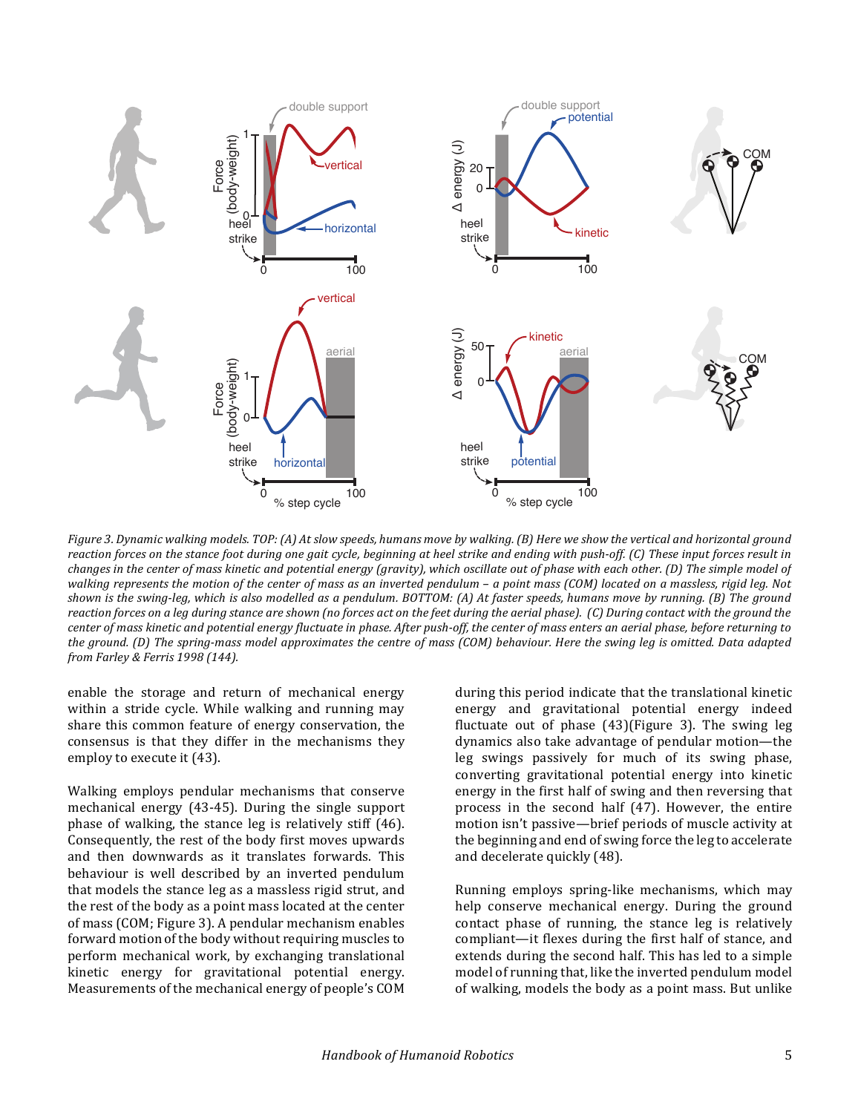

*Figure 3. Dynamic walking models. TOP:* (A) At slow speeds, humans move by walking. (B) Here we show the vertical and horizontal ground reaction forces on the stance foot during one gait cycle, beginning at heel strike and ending with push-off. (C) These input forces result in *changes* in the center of mass kinetic and potential energy (gravity), which oscillate out of phase with each other. (D) The simple model of *walking represents the motion of the center of mass as an inverted pendulum - a point mass (COM) located on a massless, rigid leg. Not* shown is the swing-leg, which is also modelled as a pendulum. BOTTOM: (A) At faster speeds, humans move by running. (B) The ground *reaction* forces on a leg during stance are shown (no forces act on the feet during the aerial phase). (C) During contact with the ground the *center* of mass kinetic and potential energy fluctuate in phase. After push-off, the center of mass enters an aerial phase, before returning to the ground. (D) The spring-mass model approximates the centre of mass (COM) behaviour. Here the swing leg is omitted. Data adapted *from Farley & Ferris 1998 (144).*

enable the storage and return of mechanical energy within a stride cycle. While walking and running may share this common feature of energy conservation, the consensus is that they differ in the mechanisms they employ to execute it (43).

Walking employs pendular mechanisms that conserve mechanical energy (43-45). During the single support phase of walking, the stance leg is relatively stiff  $(46)$ . Consequently, the rest of the body first moves upwards and then downwards as it translates forwards. This behaviour is well described by an inverted pendulum that models the stance leg as a massless rigid strut, and the rest of the body as a point mass located at the center of mass (COM; Figure 3). A pendular mechanism enables forward motion of the body without requiring muscles to perform mechanical work, by exchanging translational kinetic energy for gravitational potential energy. Measurements of the mechanical energy of people's COM during this period indicate that the translational kinetic energy and gravitational potential energy indeed fluctuate out of phase  $(43)$ (Figure 3). The swing leg dynamics also take advantage of pendular motion—the leg swings passively for much of its swing phase, converting gravitational potential energy into kinetic energy in the first half of swing and then reversing that process in the second half  $(47)$ . However, the entire motion isn't passive—brief periods of muscle activity at the beginning and end of swing force the leg to accelerate and decelerate quickly (48).

Running employs spring-like mechanisms, which may help conserve mechanical energy. During the ground contact phase of running, the stance leg is relatively compliant—it flexes during the first half of stance, and extends during the second half. This has led to a simple model of running that, like the inverted pendulum model of walking, models the body as a point mass. But unlike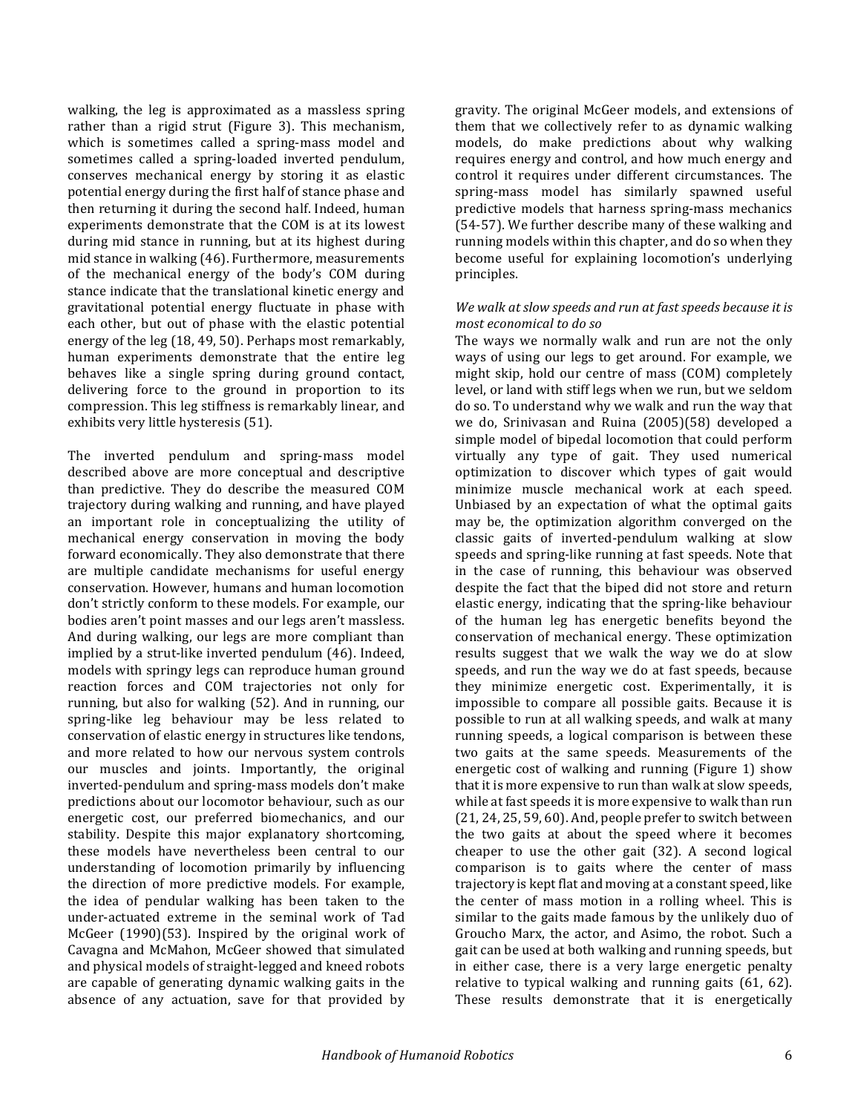walking, the leg is approximated as a massless spring rather than a rigid strut (Figure 3). This mechanism, which is sometimes called a spring-mass model and sometimes called a spring-loaded inverted pendulum, conserves mechanical energy by storing it as elastic potential energy during the first half of stance phase and then returning it during the second half. Indeed, human experiments demonstrate that the COM is at its lowest during mid stance in running, but at its highest during mid stance in walking (46). Furthermore, measurements of the mechanical energy of the body's COM during stance indicate that the translational kinetic energy and gravitational potential energy fluctuate in phase with each other, but out of phase with the elastic potential energy of the leg (18, 49, 50). Perhaps most remarkably, human experiments demonstrate that the entire leg behaves like a single spring during ground contact, delivering force to the ground in proportion to its compression. This leg stiffness is remarkably linear, and exhibits very little hysteresis (51).

The inverted pendulum and spring-mass model described above are more conceptual and descriptive than predictive. They do describe the measured COM trajectory during walking and running, and have played an important role in conceptualizing the utility of mechanical energy conservation in moving the body forward economically. They also demonstrate that there are multiple candidate mechanisms for useful energy conservation. However, humans and human locomotion don't strictly conform to these models. For example, our bodies aren't point masses and our legs aren't massless. And during walking, our legs are more compliant than implied by a strut-like inverted pendulum (46). Indeed, models with springy legs can reproduce human ground reaction forces and COM trajectories not only for running, but also for walking (52). And in running, our spring-like leg behaviour may be less related to conservation of elastic energy in structures like tendons, and more related to how our nervous system controls our muscles and joints. Importantly, the original inverted-pendulum and spring-mass models don't make predictions about our locomotor behaviour, such as our energetic cost, our preferred biomechanics, and our stability. Despite this major explanatory shortcoming, these models have nevertheless been central to our understanding of locomotion primarily by influencing the direction of more predictive models. For example, the idea of pendular walking has been taken to the under-actuated extreme in the seminal work of Tad McGeer (1990)(53). Inspired by the original work of Cavagna and McMahon, McGeer showed that simulated and physical models of straight-legged and kneed robots are capable of generating dynamic walking gaits in the absence of any actuation, save for that provided by

gravity. The original McGeer models, and extensions of them that we collectively refer to as dynamic walking models, do make predictions about why walking requires energy and control, and how much energy and control it requires under different circumstances. The spring-mass model has similarly spawned useful predictive models that harness spring-mass mechanics (54-57). We further describe many of these walking and running models within this chapter, and do so when they become useful for explaining locomotion's underlying principles.

# We walk at slow speeds and run at fast speeds because it is *most economical to do so*

The ways we normally walk and run are not the only ways of using our legs to get around. For example, we might skip, hold our centre of mass (COM) completely level, or land with stiff legs when we run, but we seldom do so. To understand why we walk and run the way that we do, Srinivasan and Ruina (2005)(58) developed a simple model of bipedal locomotion that could perform virtually any type of gait. They used numerical optimization to discover which types of gait would minimize muscle mechanical work at each speed. Unbiased by an expectation of what the optimal gaits may be, the optimization algorithm converged on the classic gaits of inverted-pendulum walking at slow speeds and spring-like running at fast speeds. Note that in the case of running, this behaviour was observed despite the fact that the biped did not store and return elastic energy, indicating that the spring-like behaviour of the human leg has energetic benefits beyond the conservation of mechanical energy. These optimization results suggest that we walk the way we do at slow speeds, and run the way we do at fast speeds, because they minimize energetic cost. Experimentally, it is impossible to compare all possible gaits. Because it is possible to run at all walking speeds, and walk at many running speeds, a logical comparison is between these two gaits at the same speeds. Measurements of the energetic cost of walking and running (Figure 1) show that it is more expensive to run than walk at slow speeds, while at fast speeds it is more expensive to walk than run  $(21, 24, 25, 59, 60)$ . And, people prefer to switch between the two gaits at about the speed where it becomes cheaper to use the other gait  $(32)$ . A second logical comparison is to gaits where the center of mass trajectory is kept flat and moving at a constant speed, like the center of mass motion in a rolling wheel. This is similar to the gaits made famous by the unlikely duo of Groucho Marx, the actor, and Asimo, the robot. Such a gait can be used at both walking and running speeds, but in either case, there is a very large energetic penalty relative to typical walking and running gaits  $(61, 62)$ . These results demonstrate that it is energetically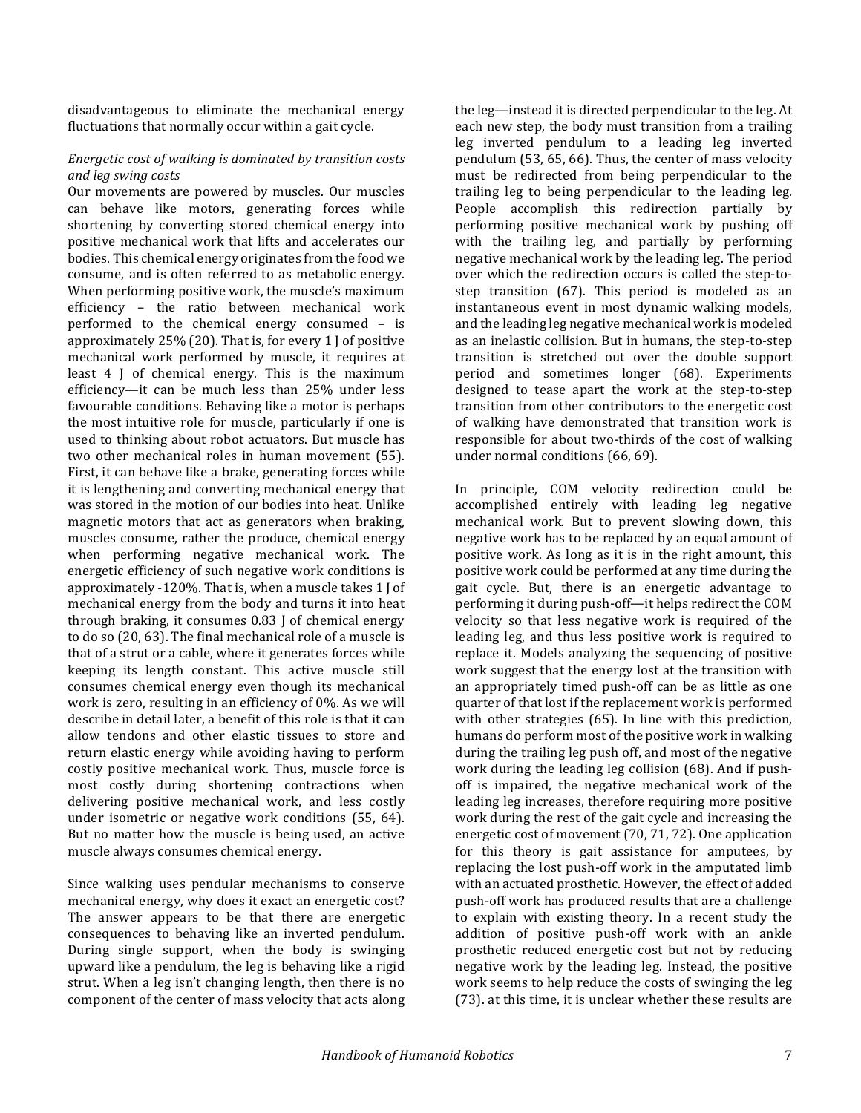disadvantageous to eliminate the mechanical energy fluctuations that normally occur within a gait cycle.

# *Energetic cost of walking is dominated by transition costs and leg swing costs*

Our movements are powered by muscles. Our muscles can behave like motors, generating forces while shortening by converting stored chemical energy into positive mechanical work that lifts and accelerates our bodies. This chemical energy originates from the food we consume, and is often referred to as metabolic energy. When performing positive work, the muscle's maximum efficiency - the ratio between mechanical work performed to the chemical energy consumed - is approximately  $25\%$  (20). That is, for every 1 J of positive mechanical work performed by muscle, it requires at least  $4$  J of chemical energy. This is the maximum efficiency—it can be much less than 25% under less favourable conditions. Behaving like a motor is perhaps the most intuitive role for muscle, particularly if one is used to thinking about robot actuators. But muscle has two other mechanical roles in human movement (55). First, it can behave like a brake, generating forces while it is lengthening and converting mechanical energy that was stored in the motion of our bodies into heat. Unlike magnetic motors that act as generators when braking, muscles consume, rather the produce, chemical energy when performing negative mechanical work. The energetic efficiency of such negative work conditions is approximately -120%. That is, when a muscle takes  $1$  J of mechanical energy from the body and turns it into heat through braking, it consumes  $0.83$  J of chemical energy to do so  $(20, 63)$ . The final mechanical role of a muscle is that of a strut or a cable, where it generates forces while keeping its length constant. This active muscle still consumes chemical energy even though its mechanical work is zero, resulting in an efficiency of 0%. As we will describe in detail later, a benefit of this role is that it can allow tendons and other elastic tissues to store and return elastic energy while avoiding having to perform costly positive mechanical work. Thus, muscle force is most costly during shortening contractions when delivering positive mechanical work, and less costly under isometric or negative work conditions (55, 64). But no matter how the muscle is being used, an active muscle always consumes chemical energy.

Since walking uses pendular mechanisms to conserve mechanical energy, why does it exact an energetic cost? The answer appears to be that there are energetic consequences to behaving like an inverted pendulum. During single support, when the body is swinging upward like a pendulum, the leg is behaving like a rigid strut. When a leg isn't changing length, then there is no component of the center of mass velocity that acts along the leg—instead it is directed perpendicular to the leg. At each new step, the body must transition from a trailing leg inverted pendulum to a leading leg inverted pendulum  $(53, 65, 66)$ . Thus, the center of mass velocity must be redirected from being perpendicular to the trailing leg to being perpendicular to the leading leg. People accomplish this redirection partially by performing positive mechanical work by pushing off with the trailing leg, and partially by performing negative mechanical work by the leading leg. The period over which the redirection occurs is called the step-tostep transition  $(67)$ . This period is modeled as an instantaneous event in most dynamic walking models, and the leading leg negative mechanical work is modeled as an inelastic collision. But in humans, the step-to-step transition is stretched out over the double support period and sometimes longer (68). Experiments designed to tease apart the work at the step-to-step transition from other contributors to the energetic cost of walking have demonstrated that transition work is responsible for about two-thirds of the cost of walking under normal conditions (66, 69).

In principle, COM velocity redirection could be accomplished entirely with leading leg negative mechanical work. But to prevent slowing down, this negative work has to be replaced by an equal amount of positive work. As long as it is in the right amount, this positive work could be performed at any time during the gait cycle. But, there is an energetic advantage to performing it during push-off—it helps redirect the COM velocity so that less negative work is required of the leading leg, and thus less positive work is required to replace it. Models analyzing the sequencing of positive work suggest that the energy lost at the transition with an appropriately timed push-off can be as little as one quarter of that lost if the replacement work is performed with other strategies (65). In line with this prediction, humans do perform most of the positive work in walking during the trailing leg push off, and most of the negative work during the leading leg collision (68). And if pushoff is impaired, the negative mechanical work of the leading leg increases, therefore requiring more positive work during the rest of the gait cycle and increasing the energetic cost of movement (70, 71, 72). One application for this theory is gait assistance for amputees, by replacing the lost push-off work in the amputated limb with an actuated prosthetic. However, the effect of added push-off work has produced results that are a challenge to explain with existing theory. In a recent study the addition of positive push-off work with an ankle prosthetic reduced energetic cost but not by reducing negative work by the leading leg. Instead, the positive work seems to help reduce the costs of swinging the leg (73). at this time, it is unclear whether these results are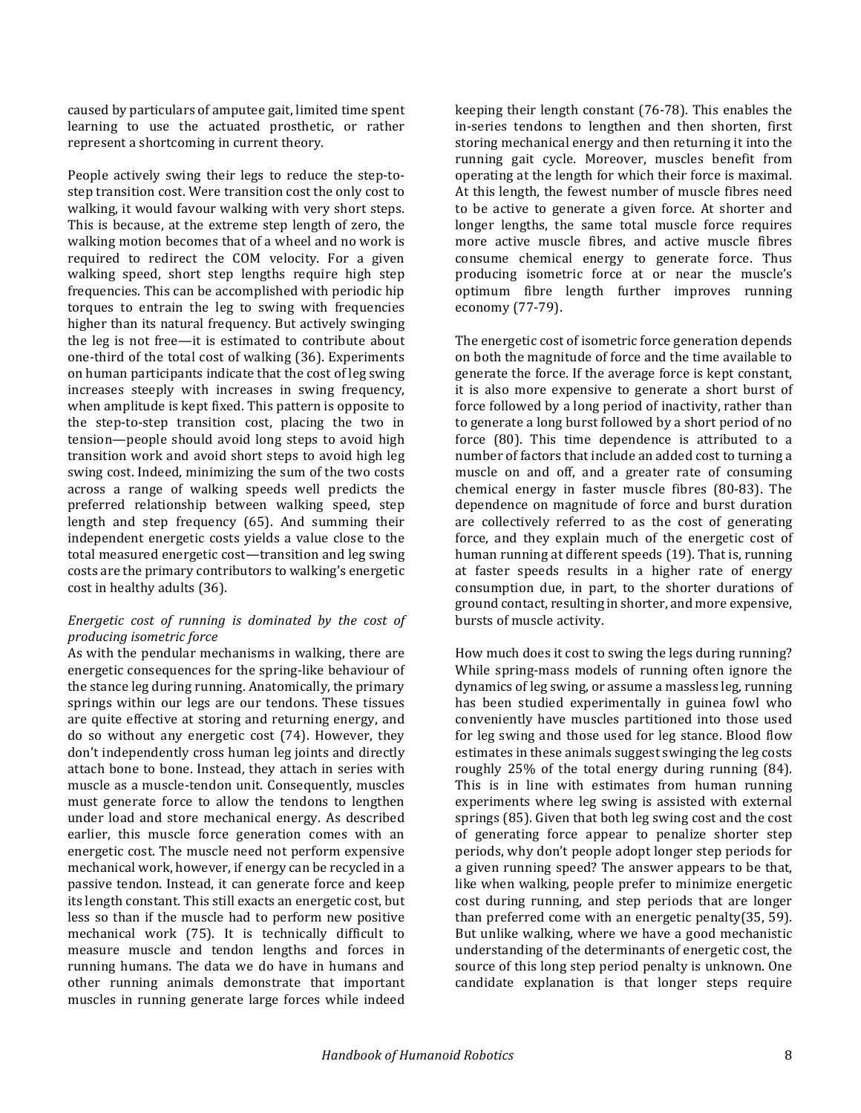caused by particulars of amputee gait, limited time spent learning to use the actuated prosthetic, or rather represent a shortcoming in current theory.

People actively swing their legs to reduce the step-tostep transition cost. Were transition cost the only cost to walking, it would favour walking with very short steps. This is because, at the extreme step length of zero, the walking motion becomes that of a wheel and no work is required to redirect the COM velocity. For a given walking speed, short step lengths require high step frequencies. This can be accomplished with periodic hip torques to entrain the leg to swing with frequencies higher than its natural frequency. But actively swinging the leg is not free—it is estimated to contribute about one-third of the total cost of walking (36). Experiments on human participants indicate that the cost of leg swing increases steeply with increases in swing frequency, when amplitude is kept fixed. This pattern is opposite to the step-to-step transition cost, placing the two in tension—people should avoid long steps to avoid high transition work and avoid short steps to avoid high leg swing cost. Indeed, minimizing the sum of the two costs across a range of walking speeds well predicts the preferred relationship between walking speed, step length and step frequency (65). And summing their independent energetic costs yields a value close to the total measured energetic cost-transition and leg swing costs are the primary contributors to walking's energetic cost in healthy adults (36).

# *Energetic cost of running is dominated by the cost of producing isometric force*

As with the pendular mechanisms in walking, there are energetic consequences for the spring-like behaviour of the stance leg during running. Anatomically, the primary springs within our legs are our tendons. These tissues are quite effective at storing and returning energy, and do so without any energetic cost  $(74)$ . However, they don't independently cross human leg joints and directly attach bone to bone. Instead, they attach in series with muscle as a muscle-tendon unit. Consequently, muscles must generate force to allow the tendons to lengthen under load and store mechanical energy. As described earlier, this muscle force generation comes with an energetic cost. The muscle need not perform expensive mechanical work, however, if energy can be recycled in a passive tendon. Instead, it can generate force and keep its length constant. This still exacts an energetic cost, but less so than if the muscle had to perform new positive mechanical work (75). It is technically difficult to measure muscle and tendon lengths and forces in running humans. The data we do have in humans and other running animals demonstrate that important muscles in running generate large forces while indeed

keeping their length constant (76-78). This enables the in-series tendons to lengthen and then shorten, first storing mechanical energy and then returning it into the running gait cycle. Moreover, muscles benefit from operating at the length for which their force is maximal. At this length, the fewest number of muscle fibres need to be active to generate a given force. At shorter and longer lengths, the same total muscle force requires more active muscle fibres, and active muscle fibres consume chemical energy to generate force. Thus producing isometric force at or near the muscle's optimum fibre length further improves running economy (77-79).

The energetic cost of isometric force generation depends on both the magnitude of force and the time available to generate the force. If the average force is kept constant, it is also more expensive to generate a short burst of force followed by a long period of inactivity, rather than to generate a long burst followed by a short period of no force  $(80)$ . This time dependence is attributed to a number of factors that include an added cost to turning a muscle on and off, and a greater rate of consuming chemical energy in faster muscle fibres (80-83). The dependence on magnitude of force and burst duration are collectively referred to as the cost of generating force, and they explain much of the energetic cost of human running at different speeds (19). That is, running at faster speeds results in a higher rate of energy consumption due, in part, to the shorter durations of ground contact, resulting in shorter, and more expensive, bursts of muscle activity.

How much does it cost to swing the legs during running? While spring-mass models of running often ignore the dynamics of leg swing, or assume a massless leg, running has been studied experimentally in guinea fowl who conveniently have muscles partitioned into those used for leg swing and those used for leg stance. Blood flow estimates in these animals suggest swinging the leg costs roughly  $25\%$  of the total energy during running  $(84)$ . This is in line with estimates from human running experiments where leg swing is assisted with external springs (85). Given that both leg swing cost and the cost of generating force appear to penalize shorter step periods, why don't people adopt longer step periods for a given running speed? The answer appears to be that, like when walking, people prefer to minimize energetic cost during running, and step periods that are longer than preferred come with an energetic penalty $(35, 59)$ . But unlike walking, where we have a good mechanistic understanding of the determinants of energetic cost, the source of this long step period penalty is unknown. One candidate explanation is that longer steps require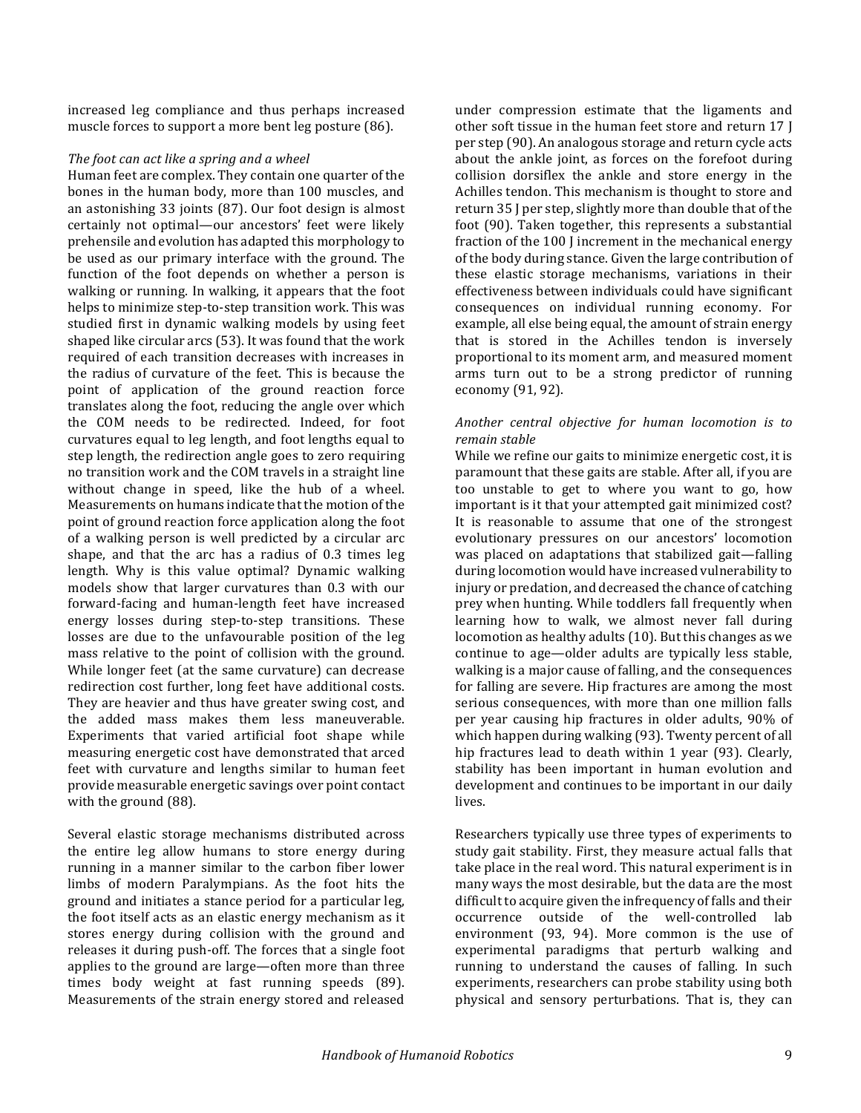increased leg compliance and thus perhaps increased muscle forces to support a more bent leg posture (86).

# *The foot can act like a spring and a wheel*

Human feet are complex. They contain one quarter of the bones in the human body, more than 100 muscles, and an astonishing 33 joints (87). Our foot design is almost certainly not optimal—our ancestors' feet were likely prehensile and evolution has adapted this morphology to be used as our primary interface with the ground. The function of the foot depends on whether a person is walking or running. In walking, it appears that the foot helps to minimize step-to-step transition work. This was studied first in dynamic walking models by using feet shaped like circular arcs (53). It was found that the work required of each transition decreases with increases in the radius of curvature of the feet. This is because the point of application of the ground reaction force translates along the foot, reducing the angle over which the COM needs to be redirected. Indeed, for foot curvatures equal to leg length, and foot lengths equal to step length, the redirection angle goes to zero requiring no transition work and the COM travels in a straight line without change in speed, like the hub of a wheel. Measurements on humans indicate that the motion of the point of ground reaction force application along the foot of a walking person is well predicted by a circular arc shape, and that the arc has a radius of  $0.3$  times leg length. Why is this value optimal? Dynamic walking models show that larger curvatures than 0.3 with our forward-facing and human-length feet have increased energy losses during step-to-step transitions. These losses are due to the unfavourable position of the leg mass relative to the point of collision with the ground. While longer feet (at the same curvature) can decrease redirection cost further, long feet have additional costs. They are heavier and thus have greater swing cost, and the added mass makes them less maneuverable. Experiments that varied artificial foot shape while measuring energetic cost have demonstrated that arced feet with curvature and lengths similar to human feet provide measurable energetic savings over point contact with the ground (88).

Several elastic storage mechanisms distributed across the entire leg allow humans to store energy during running in a manner similar to the carbon fiber lower limbs of modern Paralympians. As the foot hits the ground and initiates a stance period for a particular leg, the foot itself acts as an elastic energy mechanism as it stores energy during collision with the ground and releases it during push-off. The forces that a single foot applies to the ground are large—often more than three times body weight at fast running speeds (89). Measurements of the strain energy stored and released

under compression estimate that the ligaments and other soft tissue in the human feet store and return 17 I per step (90). An analogous storage and return cycle acts about the ankle joint, as forces on the forefoot during collision dorsiflex the ankle and store energy in the Achilles tendon. This mechanism is thought to store and return 35 J per step, slightly more than double that of the foot (90). Taken together, this represents a substantial fraction of the 100 I increment in the mechanical energy of the body during stance. Given the large contribution of these elastic storage mechanisms, variations in their effectiveness between individuals could have significant consequences on individual running economy. For example, all else being equal, the amount of strain energy that is stored in the Achilles tendon is inversely proportional to its moment arm, and measured moment arms turn out to be a strong predictor of running economy (91, 92).

# *Another central objective for human locomotion is to remain stable*

While we refine our gaits to minimize energetic cost, it is paramount that these gaits are stable. After all, if you are too unstable to get to where you want to go, how important is it that your attempted gait minimized cost? It is reasonable to assume that one of the strongest evolutionary pressures on our ancestors' locomotion was placed on adaptations that stabilized gait-falling during locomotion would have increased vulnerability to injury or predation, and decreased the chance of catching prey when hunting. While toddlers fall frequently when learning how to walk, we almost never fall during locomotion as healthy adults (10). But this changes as we continue to age—older adults are typically less stable, walking is a major cause of falling, and the consequences for falling are severe. Hip fractures are among the most serious consequences, with more than one million falls per year causing hip fractures in older adults, 90% of which happen during walking (93). Twenty percent of all hip fractures lead to death within 1 year (93). Clearly, stability has been important in human evolution and development and continues to be important in our daily lives. 

Researchers typically use three types of experiments to study gait stability. First, they measure actual falls that take place in the real word. This natural experiment is in many ways the most desirable, but the data are the most difficult to acquire given the infrequency of falls and their occurrence outside of the well-controlled lab environment  $(93, 94)$ . More common is the use of experimental paradigms that perturb walking and running to understand the causes of falling. In such experiments, researchers can probe stability using both physical and sensory perturbations. That is, they can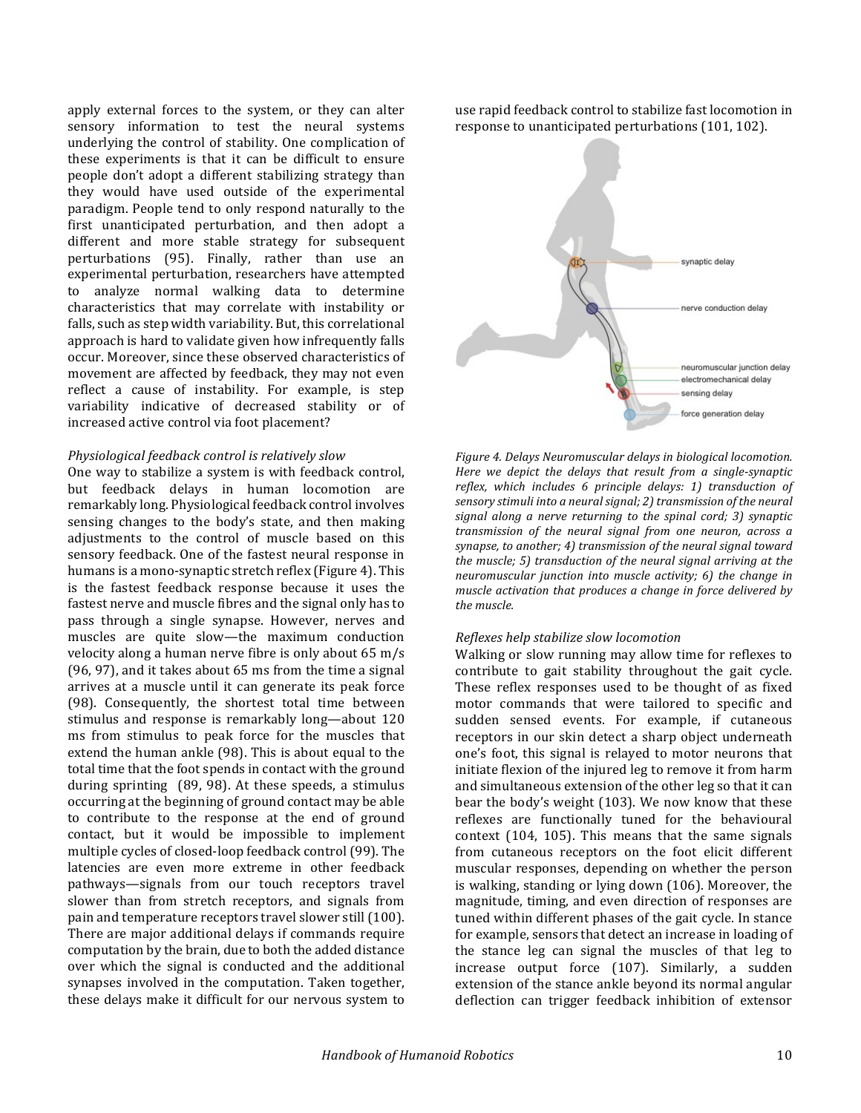apply external forces to the system, or they can alter sensory information to test the neural systems underlying the control of stability. One complication of these experiments is that it can be difficult to ensure people don't adopt a different stabilizing strategy than they would have used outside of the experimental paradigm. People tend to only respond naturally to the first unanticipated perturbation, and then adopt a different and more stable strategy for subsequent perturbations (95). Finally, rather than use an experimental perturbation, researchers have attempted to analyze normal walking data to determine characteristics that may correlate with instability or falls, such as step width variability. But, this correlational approach is hard to validate given how infrequently falls occur. Moreover, since these observed characteristics of movement are affected by feedback, they may not even reflect a cause of instability. For example, is step variability indicative of decreased stability or of increased active control via foot placement?

## *Physiological feedback control is relatively slow*

One way to stabilize a system is with feedback control, but feedback delays in human locomotion are remarkably long. Physiological feedback control involves sensing changes to the body's state, and then making adjustments to the control of muscle based on this sensory feedback. One of the fastest neural response in humans is a mono-synaptic stretch reflex (Figure 4). This is the fastest feedback response because it uses the fastest nerve and muscle fibres and the signal only has to pass through a single synapse. However, nerves and muscles are quite slow—the maximum conduction velocity along a human nerve fibre is only about  $65 \text{ m/s}$  $(96, 97)$ , and it takes about  $65$  ms from the time a signal arrives at a muscle until it can generate its peak force (98). Consequently, the shortest total time between stimulus and response is remarkably long-about 120 ms from stimulus to peak force for the muscles that extend the human ankle (98). This is about equal to the total time that the foot spends in contact with the ground during sprinting  $(89, 98)$ . At these speeds, a stimulus occurring at the beginning of ground contact may be able to contribute to the response at the end of ground contact, but it would be impossible to implement multiple cycles of closed-loop feedback control (99). The latencies are even more extreme in other feedback pathways—signals from our touch receptors travel slower than from stretch receptors, and signals from pain and temperature receptors travel slower still (100). There are major additional delays if commands require computation by the brain, due to both the added distance over which the signal is conducted and the additional synapses involved in the computation. Taken together, these delays make it difficult for our nervous system to

use rapid feedback control to stabilize fast locomotion in response to unanticipated perturbations (101, 102).



Figure 4. Delays Neuromuscular delays in biological locomotion. Here we depict the delays that result from a single-synaptic reflex, which includes 6 principle delays: 1) transduction of sensory stimuli into a neural signal; 2) transmission of the neural signal along a nerve returning to the spinal cord; 3) synaptic *transmission of the neural signal from one neuron, across a*  synapse, to another; 4) transmission of the neural signal toward *the muscle;* 5) transduction of the neural signal arriving at the *neuromuscular junction into muscle activity;* 6) the change in *muscle activation that produces a change in force delivered by the muscle.*

#### *Reflexes help stabilize slow locomotion*

Walking or slow running may allow time for reflexes to contribute to gait stability throughout the gait cycle. These reflex responses used to be thought of as fixed motor commands that were tailored to specific and sudden sensed events. For example, if cutaneous receptors in our skin detect a sharp object underneath one's foot, this signal is relayed to motor neurons that initiate flexion of the injured leg to remove it from harm and simultaneous extension of the other leg so that it can bear the body's weight (103). We now know that these reflexes are functionally tuned for the behavioural context  $(104, 105)$ . This means that the same signals from cutaneous receptors on the foot elicit different muscular responses, depending on whether the person is walking, standing or lying down (106). Moreover, the magnitude, timing, and even direction of responses are tuned within different phases of the gait cycle. In stance for example, sensors that detect an increase in loading of the stance leg can signal the muscles of that leg to increase output force (107). Similarly, a sudden extension of the stance ankle beyond its normal angular deflection can trigger feedback inhibition of extensor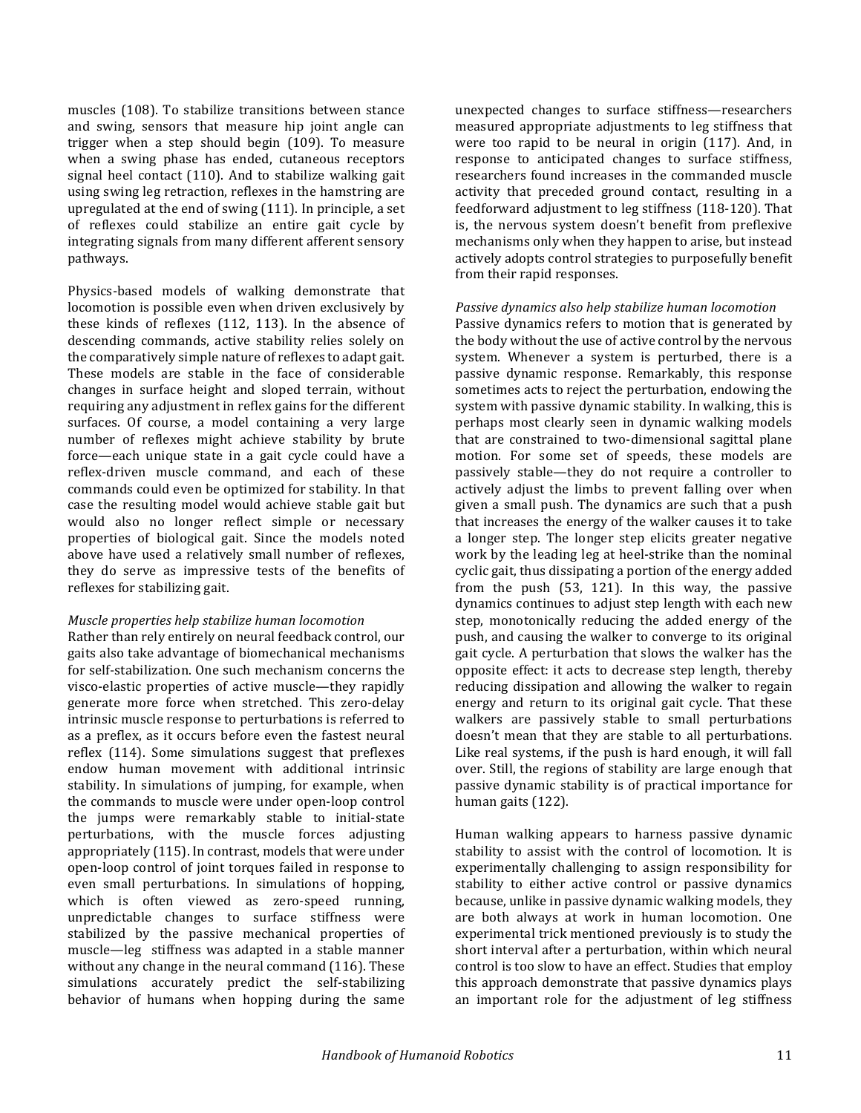muscles (108). To stabilize transitions between stance and swing, sensors that measure hip joint angle can trigger when a step should begin (109). To measure when a swing phase has ended, cutaneous receptors signal heel contact  $(110)$ . And to stabilize walking gait using swing leg retraction, reflexes in the hamstring are upregulated at the end of swing (111). In principle, a set of reflexes could stabilize an entire gait cycle by integrating signals from many different afferent sensory pathways.

Physics-based models of walking demonstrate that locomotion is possible even when driven exclusively by these kinds of reflexes  $(112, 113)$ . In the absence of descending commands, active stability relies solely on the comparatively simple nature of reflexes to adapt gait. These models are stable in the face of considerable changes in surface height and sloped terrain, without requiring any adjustment in reflex gains for the different surfaces. Of course, a model containing a very large number of reflexes might achieve stability by brute force—each unique state in a gait cycle could have a reflex-driven muscle command, and each of these commands could even be optimized for stability. In that case the resulting model would achieve stable gait but would also no longer reflect simple or necessary properties of biological gait. Since the models noted above have used a relatively small number of reflexes, they do serve as impressive tests of the benefits of reflexes for stabilizing gait.

# *Muscle properties help stabilize human locomotion*

Rather than rely entirely on neural feedback control, our gaits also take advantage of biomechanical mechanisms for self-stabilization. One such mechanism concerns the visco-elastic properties of active muscle—they rapidly generate more force when stretched. This zero-delay intrinsic muscle response to perturbations is referred to as a preflex, as it occurs before even the fastest neural reflex  $(114)$ . Some simulations suggest that preflexes endow human movement with additional intrinsic stability. In simulations of jumping, for example, when the commands to muscle were under open-loop control the jumps were remarkably stable to initial-state perturbations, with the muscle forces adjusting appropriately (115). In contrast, models that were under open-loop control of joint torques failed in response to even small perturbations. In simulations of hopping, which is often viewed as zero-speed running, unpredictable changes to surface stiffness were stabilized by the passive mechanical properties of muscle—leg stiffness was adapted in a stable manner without any change in the neural command  $(116)$ . These simulations accurately predict the self-stabilizing behavior of humans when hopping during the same

unexpected changes to surface stiffness—researchers measured appropriate adjustments to leg stiffness that were too rapid to be neural in origin  $(117)$ . And, in response to anticipated changes to surface stiffness, researchers found increases in the commanded muscle activity that preceded ground contact, resulting in a feedforward adjustment to leg stiffness (118-120). That is, the nervous system doesn't benefit from preflexive mechanisms only when they happen to arise, but instead actively adopts control strategies to purposefully benefit from their rapid responses.

## Passive dynamics also help stabilize human *locomotion*

Passive dynamics refers to motion that is generated by the body without the use of active control by the nervous system. Whenever a system is perturbed, there is a passive dynamic response. Remarkably, this response sometimes acts to reject the perturbation, endowing the system with passive dynamic stability. In walking, this is perhaps most clearly seen in dynamic walking models that are constrained to two-dimensional sagittal plane motion. For some set of speeds, these models are passively stable—they do not require a controller to actively adjust the limbs to prevent falling over when given a small push. The dynamics are such that a push that increases the energy of the walker causes it to take a longer step. The longer step elicits greater negative work by the leading leg at heel-strike than the nominal cyclic gait, thus dissipating a portion of the energy added from the push  $(53, 121)$ . In this way, the passive dynamics continues to adjust step length with each new step, monotonically reducing the added energy of the push, and causing the walker to converge to its original gait cycle. A perturbation that slows the walker has the opposite effect: it acts to decrease step length, thereby reducing dissipation and allowing the walker to regain energy and return to its original gait cycle. That these walkers are passively stable to small perturbations doesn't mean that they are stable to all perturbations. Like real systems, if the push is hard enough, it will fall over. Still, the regions of stability are large enough that passive dynamic stability is of practical importance for human gaits (122).

Human walking appears to harness passive dynamic stability to assist with the control of locomotion. It is experimentally challenging to assign responsibility for stability to either active control or passive dynamics because, unlike in passive dynamic walking models, they are both always at work in human locomotion. One experimental trick mentioned previously is to study the short interval after a perturbation, within which neural control is too slow to have an effect. Studies that employ this approach demonstrate that passive dynamics plays an important role for the adjustment of leg stiffness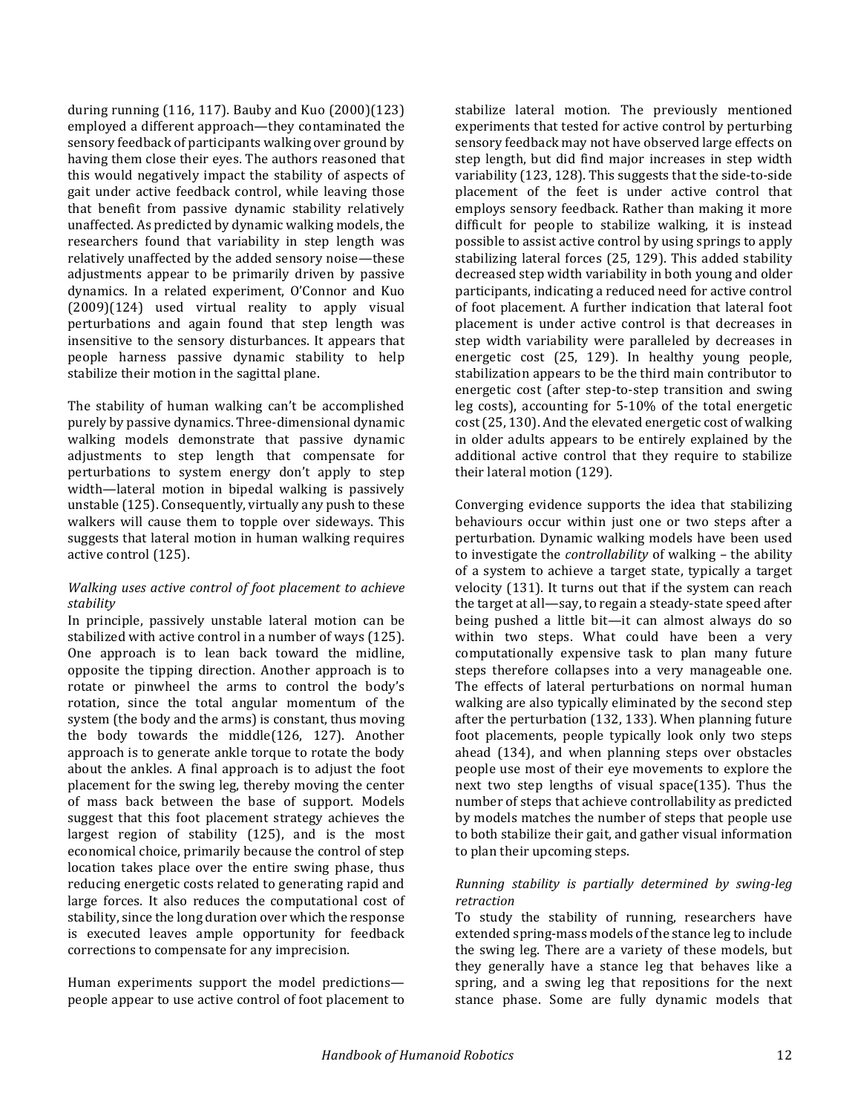during running  $(116, 117)$ . Bauby and Kuo  $(2000)(123)$ employed a different approach—they contaminated the sensory feedback of participants walking over ground by having them close their eyes. The authors reasoned that this would negatively impact the stability of aspects of gait under active feedback control, while leaving those that benefit from passive dynamic stability relatively unaffected. As predicted by dynamic walking models, the researchers found that variability in step length was relatively unaffected by the added sensory noise—these adjustments appear to be primarily driven by passive dynamics. In a related experiment, O'Connor and Kuo  $(2009)(124)$  used virtual reality to apply visual perturbations and again found that step length was insensitive to the sensory disturbances. It appears that people harness passive dynamic stability to help stabilize their motion in the sagittal plane.

The stability of human walking can't be accomplished purely by passive dynamics. Three-dimensional dynamic walking models demonstrate that passive dynamic adjustments to step length that compensate for perturbations to system energy don't apply to step width—lateral motion in bipedal walking is passively unstable (125). Consequently, virtually any push to these walkers will cause them to topple over sideways. This suggests that lateral motion in human walking requires active control (125).

# *Walking* uses active control of foot placement to achieve *stability*

In principle, passively unstable lateral motion can be stabilized with active control in a number of ways (125). One approach is to lean back toward the midline, opposite the tipping direction. Another approach is to rotate or pinwheel the arms to control the body's rotation, since the total angular momentum of the system (the body and the arms) is constant, thus moving the body towards the middle $(126, 127)$ . Another approach is to generate ankle torque to rotate the body about the ankles. A final approach is to adjust the foot placement for the swing leg, thereby moving the center of mass back between the base of support. Models suggest that this foot placement strategy achieves the largest region of stability  $(125)$ , and is the most economical choice, primarily because the control of step location takes place over the entire swing phase, thus reducing energetic costs related to generating rapid and large forces. It also reduces the computational cost of stability, since the long duration over which the response is executed leaves ample opportunity for feedback corrections to compensate for any imprecision.

Human experiments support the model predictions people appear to use active control of foot placement to stabilize lateral motion. The previously mentioned experiments that tested for active control by perturbing sensory feedback may not have observed large effects on step length, but did find major increases in step width variability (123, 128). This suggests that the side-to-side placement of the feet is under active control that employs sensory feedback. Rather than making it more difficult for people to stabilize walking, it is instead possible to assist active control by using springs to apply stabilizing lateral forces (25, 129). This added stability decreased step width variability in both young and older participants, indicating a reduced need for active control of foot placement. A further indication that lateral foot placement is under active control is that decreases in step width variability were paralleled by decreases in energetic cost  $(25, 129)$ . In healthy young people, stabilization appears to be the third main contributor to energetic cost (after step-to-step transition and swing leg costs), accounting for  $5-10\%$  of the total energetic cost (25, 130). And the elevated energetic cost of walking in older adults appears to be entirely explained by the additional active control that they require to stabilize their lateral motion (129).

Converging evidence supports the idea that stabilizing behaviours occur within just one or two steps after a perturbation. Dynamic walking models have been used to investigate the *controllability* of walking - the ability of a system to achieve a target state, typically a target velocity (131). It turns out that if the system can reach the target at all-say, to regain a steady-state speed after being pushed a little bit—it can almost always do so within two steps. What could have been a very computationally expensive task to plan many future steps therefore collapses into a very manageable one. The effects of lateral perturbations on normal human walking are also typically eliminated by the second step after the perturbation  $(132, 133)$ . When planning future foot placements, people typically look only two steps ahead (134), and when planning steps over obstacles people use most of their eve movements to explore the next two step lengths of visual space(135). Thus the number of steps that achieve controllability as predicted by models matches the number of steps that people use to both stabilize their gait, and gather visual information to plan their upcoming steps.

# *Running stability is partially determined by swing-leg retraction*

To study the stability of running, researchers have extended spring-mass models of the stance leg to include the swing leg. There are a variety of these models, but they generally have a stance leg that behaves like a spring, and a swing leg that repositions for the next stance phase. Some are fully dynamic models that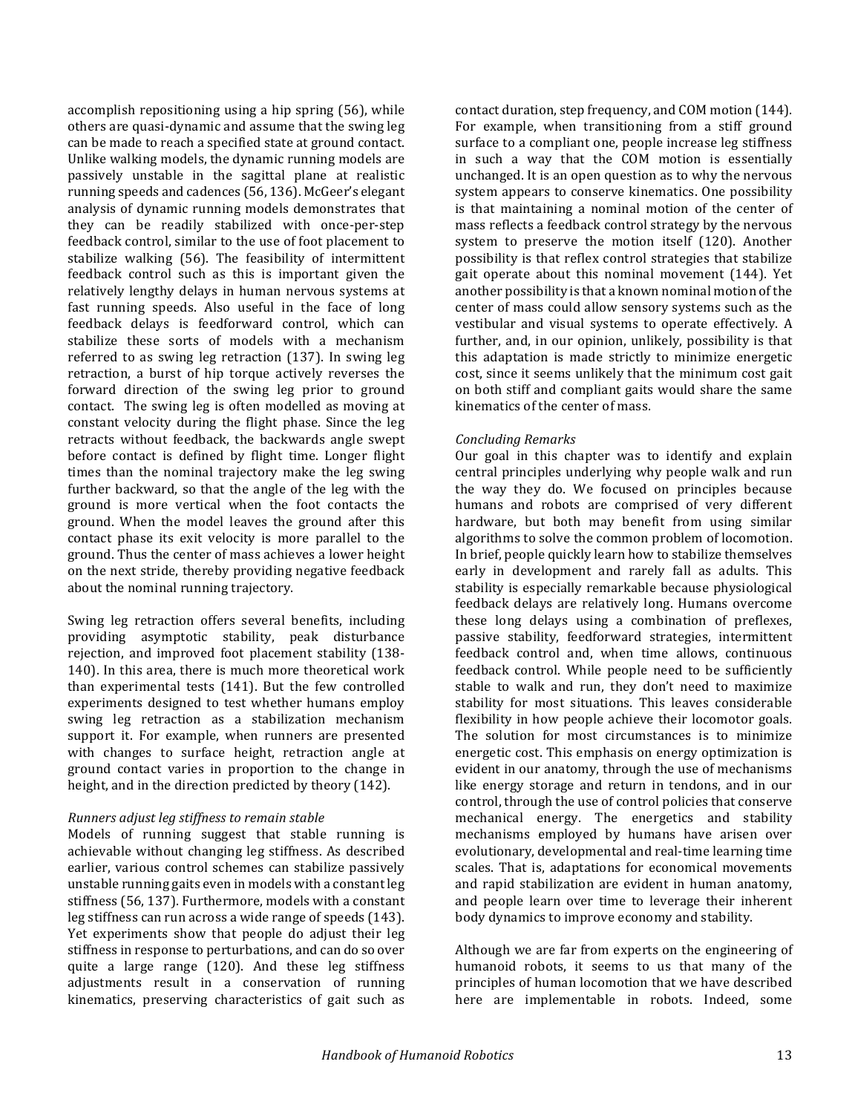accomplish repositioning using a hip spring (56), while others are quasi-dynamic and assume that the swing leg can be made to reach a specified state at ground contact. Unlike walking models, the dynamic running models are passively unstable in the sagittal plane at realistic running speeds and cadences (56, 136). McGeer's elegant analysis of dynamic running models demonstrates that they can be readily stabilized with once-per-step feedback control, similar to the use of foot placement to stabilize walking (56). The feasibility of intermittent feedback control such as this is important given the relatively lengthy delays in human nervous systems at fast running speeds. Also useful in the face of long feedback delays is feedforward control, which can stabilize these sorts of models with a mechanism referred to as swing leg retraction  $(137)$ . In swing leg retraction, a burst of hip torque actively reverses the forward direction of the swing leg prior to ground contact. The swing leg is often modelled as moving at constant velocity during the flight phase. Since the leg retracts without feedback, the backwards angle swept before contact is defined by flight time. Longer flight times than the nominal trajectory make the leg swing further backward, so that the angle of the leg with the ground is more vertical when the foot contacts the ground. When the model leaves the ground after this contact phase its exit velocity is more parallel to the ground. Thus the center of mass achieves a lower height on the next stride, thereby providing negative feedback about the nominal running trajectory.

Swing leg retraction offers several benefits, including providing asymptotic stability, peak disturbance rejection, and improved foot placement stability (138-140). In this area, there is much more theoretical work than experimental tests  $(141)$ . But the few controlled experiments designed to test whether humans employ swing leg retraction as a stabilization mechanism support it. For example, when runners are presented with changes to surface height, retraction angle at ground contact varies in proportion to the change in height, and in the direction predicted by theory (142).

## *Runners adjust leg stiffness to remain stable*

Models of running suggest that stable running is achievable without changing leg stiffness. As described earlier, various control schemes can stabilize passively unstable running gaits even in models with a constant leg stiffness (56, 137). Furthermore, models with a constant leg stiffness can run across a wide range of speeds (143). Yet experiments show that people do adjust their leg stiffness in response to perturbations, and can do so over quite a large range (120). And these leg stiffness adjustments result in a conservation of running kinematics, preserving characteristics of gait such as

contact duration, step frequency, and COM motion (144). For example, when transitioning from a stiff ground surface to a compliant one, people increase leg stiffness in such a way that the COM motion is essentially unchanged. It is an open question as to why the nervous system appears to conserve kinematics. One possibility is that maintaining a nominal motion of the center of mass reflects a feedback control strategy by the nervous system to preserve the motion itself (120). Another possibility is that reflex control strategies that stabilize gait operate about this nominal movement (144). Yet another possibility is that a known nominal motion of the center of mass could allow sensory systems such as the vestibular and visual systems to operate effectively. A further, and, in our opinion, unlikely, possibility is that this adaptation is made strictly to minimize energetic cost, since it seems unlikely that the minimum cost gait on both stiff and compliant gaits would share the same kinematics of the center of mass.

# *Concluding Remarks*

Our goal in this chapter was to identify and explain central principles underlying why people walk and run the way they do. We focused on principles because humans and robots are comprised of very different hardware, but both may benefit from using similar algorithms to solve the common problem of locomotion. In brief, people quickly learn how to stabilize themselves early in development and rarely fall as adults. This stability is especially remarkable because physiological feedback delays are relatively long. Humans overcome these long delays using a combination of preflexes, passive stability, feedforward strategies, intermittent feedback control and, when time allows, continuous feedback control. While people need to be sufficiently stable to walk and run, they don't need to maximize stability for most situations. This leaves considerable flexibility in how people achieve their locomotor goals. The solution for most circumstances is to minimize energetic cost. This emphasis on energy optimization is evident in our anatomy, through the use of mechanisms like energy storage and return in tendons, and in our control, through the use of control policies that conserve mechanical energy. The energetics and stability mechanisms employed by humans have arisen over evolutionary, developmental and real-time learning time scales. That is, adaptations for economical movements and rapid stabilization are evident in human anatomy, and people learn over time to leverage their inherent body dynamics to improve economy and stability.

Although we are far from experts on the engineering of humanoid robots, it seems to us that many of the principles of human locomotion that we have described here are implementable in robots. Indeed, some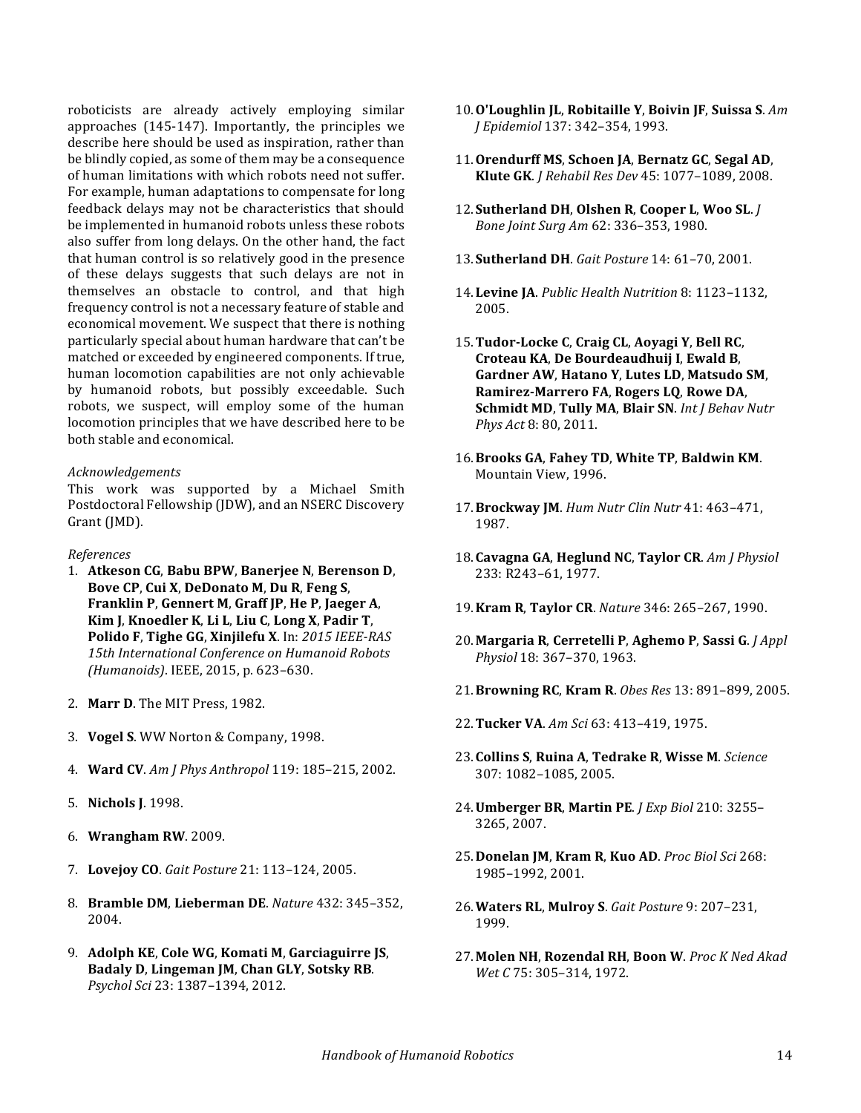roboticists are already actively employing similar approaches  $(145-147)$ . Importantly, the principles we describe here should be used as inspiration, rather than be blindly copied, as some of them may be a consequence of human limitations with which robots need not suffer. For example, human adaptations to compensate for long feedback delays may not be characteristics that should be implemented in humanoid robots unless these robots also suffer from long delays. On the other hand, the fact that human control is so relatively good in the presence of these delays suggests that such delays are not in themselves an obstacle to control, and that high frequency control is not a necessary feature of stable and economical movement. We suspect that there is nothing particularly special about human hardware that can't be matched or exceeded by engineered components. If true, human locomotion capabilities are not only achievable by humanoid robots, but possibly exceedable. Such robots, we suspect, will employ some of the human locomotion principles that we have described here to be both stable and economical.

## *Acknowledgements*

This work was supported by a Michael Smith Postdoctoral Fellowship (JDW), and an NSERC Discovery Grant (JMD).

## *References*

- 1. Atkeson CG, Babu BPW, Banerjee N, Berenson D, **Bove CP**, **Cui X**, **DeDonato M**, **Du R**, **Feng S**, **Franklin P**, **Gennert M**, **Graff JP**, **He P**, **Jaeger A**, **Kim J**, **Knoedler K**, **Li L**, **Liu C**, **Long X**, **Padir T**, **Polido F. Tighe GG. Xinjilefu X.** In: 2015 IEEE-RAS 15th International Conference on Humanoid Robots *(Humanoids)*. IEEE, 2015, p. 623-630.
- 2. Marr D. The MIT Press, 1982.
- 3. **Vogel S.** WW Norton & Company, 1998.
- 4. **Ward CV**. Am J Phys Anthropol 119: 185-215, 2002.
- 5. **Nichols J**. 1998.
- 6. **Wrangham RW**. 2009.
- 7. **Lovejoy CO**. *Gait Posture* 21: 113–124, 2005.
- 8. **Bramble DM, Lieberman DE.** Nature 432: 345-352, 2004.
- 9. **Adolph KE**, **Cole WG**, **Komati M**, **Garciaguirre JS**, Badaly D, Lingeman JM, Chan GLY, Sotsky RB. *Psychol Sci* 23: 1387–1394, 2012.
- 10. O'Loughlin JL, Robitaille Y, Boivin JF, Suissa S. Am *J Epidemiol* 137: 342–354, 1993.
- 11. Orendurff MS, Schoen JA, Bernatz GC, Segal AD, **Klute GK**. *J Rehabil Res Dev* 45: 1077-1089, 2008.
- 12. Sutherland DH, Olshen R, Cooper L, Woo SL. *J Bone Joint Surg Am* 62: 336–353, 1980.
- 13.**Sutherland DH**. *Gait Posture* 14: 61–70, 2001.
- 14.**Levine JA**. *Public Health Nutrition* 8: 1123–1132, 2005.
- 15.**Tudor-Locke C**, **Craig CL**, **Aoyagi Y**, **Bell RC**, **Croteau KA**, **De Bourdeaudhuij I**, **Ewald B**, **Gardner AW, Hatano Y, Lutes LD, Matsudo SM, Ramirez-Marrero FA**, **Rogers LQ**, **Rowe DA**, **Schmidt MD, Tully MA, Blair SN.** Int J Behav Nutr *Phys Act* 8: 80, 2011.
- 16. Brooks GA, Fahey TD, White TP, Baldwin KM. Mountain View, 1996.
- 17.**Brockway JM**. *Hum Nutr Clin Nutr* 41: 463–471, 1987.
- 18. Cavagna GA, Heglund NC, Taylor CR. Am J Physiol 233: R243-61, 1977.
- 19.**Kram R**, **Taylor CR**. *Nature* 346: 265–267, 1990.
- 20. Margaria R, Cerretelli P, Aghemo P, Sassi G. *J Appl Physiol* 18: 367–370, 1963.
- 21.**Browning RC**, **Kram R**. *Obes Res* 13: 891–899, 2005.
- 22.**Tucker VA**. *Am Sci* 63: 413–419, 1975.
- 23.**Collins S**, **Ruina A**, **Tedrake R**, **Wisse M**. *Science* 307: 1082-1085, 2005.
- 24.**Umberger BR**, **Martin PE**. *J Exp Biol* 210: 3255– 3265, 2007.
- 25.**Donelan JM**, **Kram R**, **Kuo AD**. *Proc Biol Sci* 268: 1985–1992, 2001.
- 26.**Waters RL**, **Mulroy S**. *Gait Posture* 9: 207–231, 1999.
- 27. Molen NH, Rozendal RH, Boon W. Proc K Ned Akad *Wet* C 75: 305-314, 1972.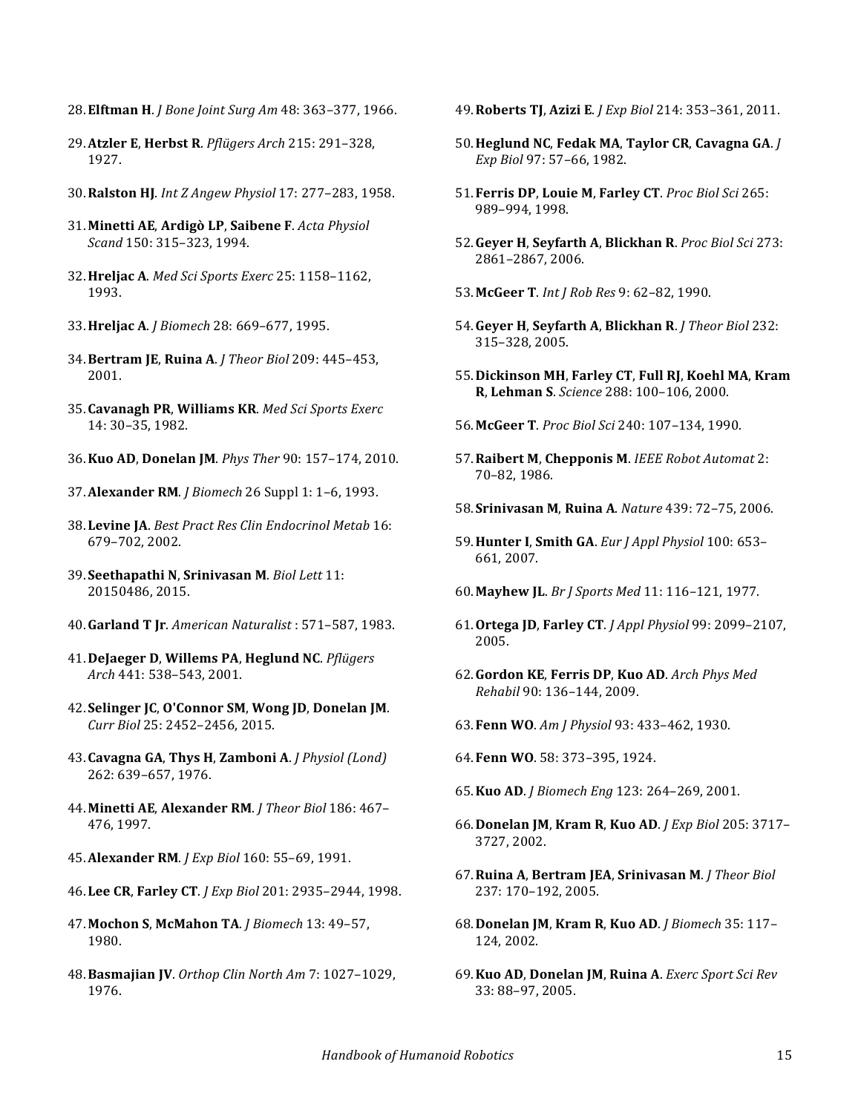- 28. **Elftman H**. *J Bone Joint Surg Am* 48: 363-377, 1966.
- 29.**Atzler E**, **Herbst R**. *Pflügers Arch* 215: 291–328, 1927.
- 30.**Ralston HJ**. *Int Z Angew Physiol* 17: 277–283, 1958.
- 31. Minetti AE, Ardigò LP, Saibene F. Acta Physiol *Scand* 150: 315–323, 1994.
- 32.**Hreljac A**. *Med Sci Sports Exerc* 25: 1158–1162, 1993.
- 33.**Hreljac A**. *J Biomech* 28: 669–677, 1995.
- 34.**Bertram JE**, **Ruina A**. *J Theor Biol* 209: 445–453, 2001.
- 35.**Cavanagh PR**, **Williams KR**. *Med Sci Sports Exerc* 14: 30–35, 1982.
- 36.**Kuo AD**, **Donelan JM**. *Phys Ther* 90: 157–174, 2010.
- 37. Alexander RM. *J Biomech* 26 Suppl 1: 1-6, 1993.
- 38. Levine JA. Best Pract Res Clin Endocrinol Metab 16: 679–702, 2002.
- 39.**Seethapathi N**, **Srinivasan M**. *Biol Lett* 11: 20150486, 2015.
- 40.**Garland T Jr**. *American Naturalist* : 571–587, 1983.
- 41.**DeJaeger D**, **Willems PA**, **Heglund NC**. *Pflügers Arch* 441: 538–543, 2001.
- 42.**Selinger JC**, **O'Connor SM**, **Wong JD**, **Donelan JM**. *Curr Biol* 25: 2452–2456, 2015.
- 43. Cavagna GA, Thys H, Zamboni A. *J Physiol* (Lond) 262: 639–657, 1976.
- 44.**Minetti AE**, **Alexander RM**. *J Theor Biol* 186: 467– 476, 1997.
- 45.**Alexander RM**. *J Exp Biol* 160: 55–69, 1991.
- 46.**Lee CR**, **Farley CT**. *J Exp Biol* 201: 2935–2944, 1998.
- 47.**Mochon S**, **McMahon TA**. *J Biomech* 13: 49–57, 1980.
- 48.**Basmajian JV**. *Orthop Clin North Am* 7: 1027–1029, 1976.

49.**Roberts TJ**, **Azizi E**. *J Exp Biol* 214: 353–361, 2011.

- 50. Heglund NC, Fedak MA, Taylor CR, Cavagna GA. *J Exp Biol* 97: 57–66, 1982.
- 51.**Ferris DP**, **Louie M**, **Farley CT**. *Proc Biol Sci* 265: 989-994, 1998.
- 52.**Geyer H**, **Seyfarth A**, **Blickhan R**. *Proc Biol Sci* 273: 2861–2867, 2006.
- 53.**McGeer T**. *Int J Rob Res* 9: 62–82, 1990.
- 54. Geyer H, Seyfarth A, Blickhan R. *J Theor Biol* 232: 315–328, 2005.
- 55.**Dickinson MH**, **Farley CT**, **Full RJ**, **Koehl MA**, **Kram R**, Lehman S. Science 288: 100-106, 2000.
- 56.**McGeer T**. *Proc Biol Sci* 240: 107–134, 1990.
- 57.**Raibert M**, **Chepponis M**. *IEEE Robot Automat* 2: 70–82, 1986.
- 58.**Srinivasan M**, **Ruina A**. *Nature* 439: 72–75, 2006.
- 59. Hunter I, Smith GA. *Eur J Appl Physiol* 100: 653-661, 2007.
- 60.**Mayhew JL**. *Br J Sports Med* 11: 116–121, 1977.
- 61.**Ortega JD**, **Farley CT**. *J Appl Physiol* 99: 2099–2107, 2005.
- 62. Gordon KE, Ferris DP, Kuo AD. Arch Phys Med *Rehabil* 90: 136–144, 2009.
- 63.**Fenn WO**. *Am J Physiol* 93: 433–462, 1930.
- 64.**Fenn WO**. 58: 373–395, 1924.
- 65.**Kuo AD**. *J Biomech Eng* 123: 264–269, 2001.
- 66.**Donelan JM**, **Kram R**, **Kuo AD**. *J Exp Biol* 205: 3717– 3727, 2002.
- 67.**Ruina A**, **Bertram JEA**, **Srinivasan M**. *J Theor Biol* 237: 170–192, 2005.
- 68.**Donelan JM**, **Kram R**, **Kuo AD**. *J Biomech* 35: 117– 124, 2002.
- 69.**Kuo AD**, **Donelan JM**, **Ruina A**. *Exerc Sport Sci Rev* 33: 88–97, 2005.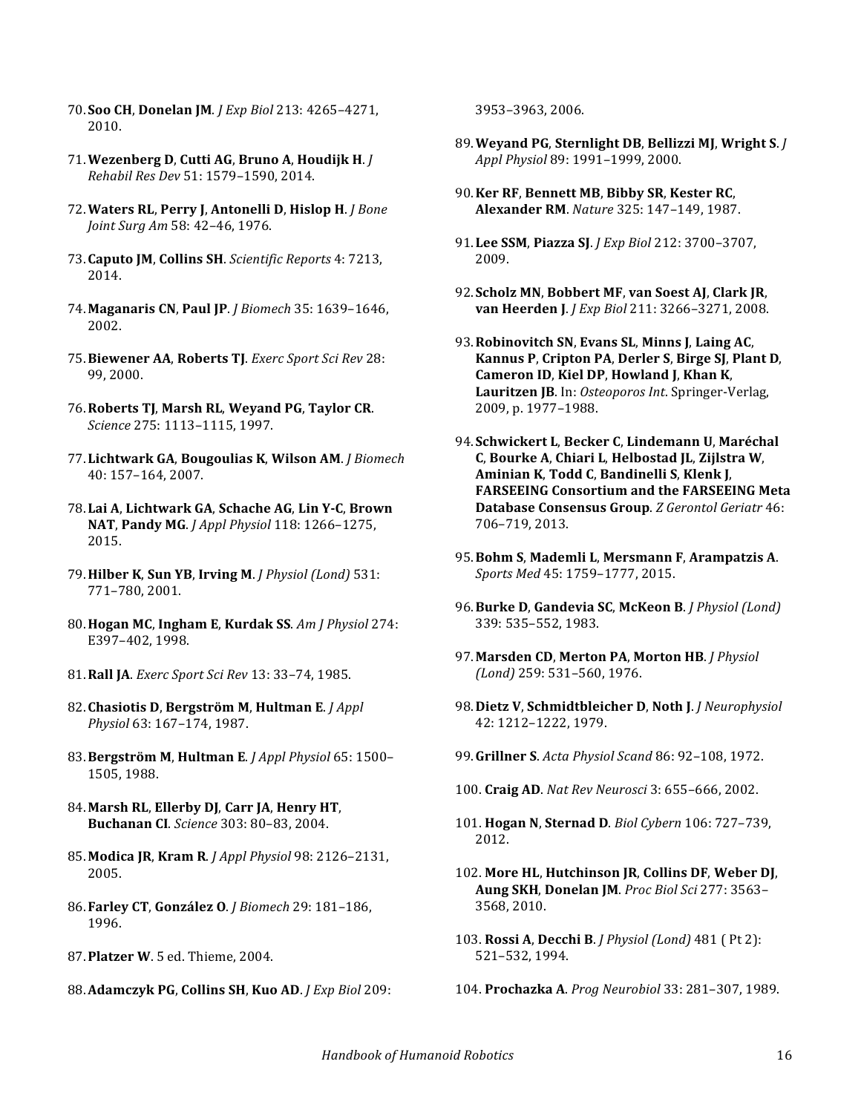- 70. Soo CH, Donelan JM. *J Exp Biol* 213: 4265-4271, 2010.
- 71. Wezenberg D, Cutti AG, Bruno A, Houdijk H. / *Rehabil Res Dev* 51: 1579–1590, 2014.
- 72. Waters RL, Perry J, Antonelli D, Hislop H. *J Bone Joint Surg Am* 58: 42-46, 1976.
- 73.**Caputo JM**, **Collins SH**. *Scientific Reports* 4: 7213, 2014.
- 74.**Maganaris CN**, **Paul JP**. *J Biomech* 35: 1639–1646, 2002.
- 75.**Biewener AA**, **Roberts TJ**. *Exerc Sport Sci Rev* 28: 99, 2000.
- 76.**Roberts TJ**, **Marsh RL**, **Weyand PG**, **Taylor CR**. *Science* 275: 1113–1115, 1997.
- 77.**Lichtwark GA**, **Bougoulias K**, **Wilson AM**. *J Biomech* 40: 157–164, 2007.
- 78.**Lai A**, **Lichtwark GA**, **Schache AG**, **Lin Y-C**, **Brown NAT**, **Pandy MG**. *J Appl Physiol* 118: 1266-1275, 2015.
- 79.**Hilber K**, **Sun YB**, **Irving M**. *J Physiol (Lond)* 531: 771–780, 2001.
- 80.**Hogan MC**, **Ingham E**, **Kurdak SS**. *Am J Physiol* 274: E397-402, 1998.
- 81. **Rall JA**. *Exerc Sport Sci Rev* 13: 33-74, 1985.
- 82. Chasiotis D, Bergström M, Hultman E. *J Appl Physiol* 63: 167–174, 1987.
- 83. Bergström M, Hultman E. *J Appl Physiol* 65: 1500-1505, 1988.
- 84. Marsh RL, Ellerby DJ, Carr JA, Henry HT, **Buchanan CI**. *Science* 303: 80–83, 2004.
- 85.**Modica JR**, **Kram R**. *J Appl Physiol* 98: 2126–2131, 2005.
- 86.**Farley CT**, **González O**. *J Biomech* 29: 181–186, 1996.
- 87. **Platzer W**. 5 ed. Thieme, 2004.
- 88. Adamczyk PG, Collins SH, Kuo AD. *J Exp Biol* 209:

3953-3963, 2006.

- 89. Weyand PG, Sternlight DB, Bellizzi MJ, Wright S. / *Appl Physiol* 89: 1991–1999, 2000.
- 90.**Ker RF**, **Bennett MB**, **Bibby SR**, **Kester RC**, **Alexander RM**. *Nature* 325: 147–149, 1987.
- 91.**Lee SSM**, **Piazza SJ**. *J Exp Biol* 212: 3700–3707, 2009.
- 92. Scholz MN, Bobbert MF, van Soest AJ, Clark JR, **van Heerden J**. *J Exp Biol* 211: 3266-3271, 2008.
- 93.**Robinovitch SN**, **Evans SL**, **Minns J**, **Laing AC**, **Kannus P.** Cripton PA, Derler S, Birge SJ, Plant D. **Cameron ID**, **Kiel DP**, **Howland J**, **Khan K**, Lauritzen JB. In: Osteoporos Int. Springer-Verlag, 2009, p. 1977-1988.
- 94. Schwickert L, Becker C, Lindemann U, Maréchal **C**, **Bourke A**, **Chiari L**, **Helbostad JL**, **Zijlstra W**, **Aminian K**, **Todd C**, **Bandinelli S**, **Klenk J**, **FARSEEING Consortium and the FARSEEING Meta Database Consensus Group**. *Z Gerontol Geriatr* 46: 706–719, 2013.
- 95. Bohm S, Mademli L, Mersmann F, Arampatzis A. *Sports Med* 45: 1759–1777, 2015.
- 96. Burke D, Gandevia SC, McKeon B. *J Physiol (Lond)* 339: 535–552, 1983.
- 97. Marsden CD, Merton PA, Morton HB. *J Physiol (Lond)* 259: 531-560, 1976.
- 98.**Dietz V**, **Schmidtbleicher D**, **Noth J**. *J Neurophysiol* 42: 1212–1222, 1979.
- 99.**Grillner S**. *Acta Physiol Scand* 86: 92–108, 1972.
- 100. **Craig AD**. *Nat Rev Neurosci* 3: 655-666, 2002.
- 101. **Hogan N**, **Sternad D**. *Biol Cybern* 106: 727–739, 2012.
- 102. More HL, Hutchinson JR, Collins DF, Weber DJ, **Aung SKH**, **Donelan JM**. *Proc Biol Sci* 277: 3563– 3568, 2010.
- 103. **Rossi A, Decchi B**. *J Physiol (Lond)* 481 (Pt 2): 521-532, 1994.
- 104. **Prochazka A**. *Prog Neurobiol* 33: 281–307, 1989.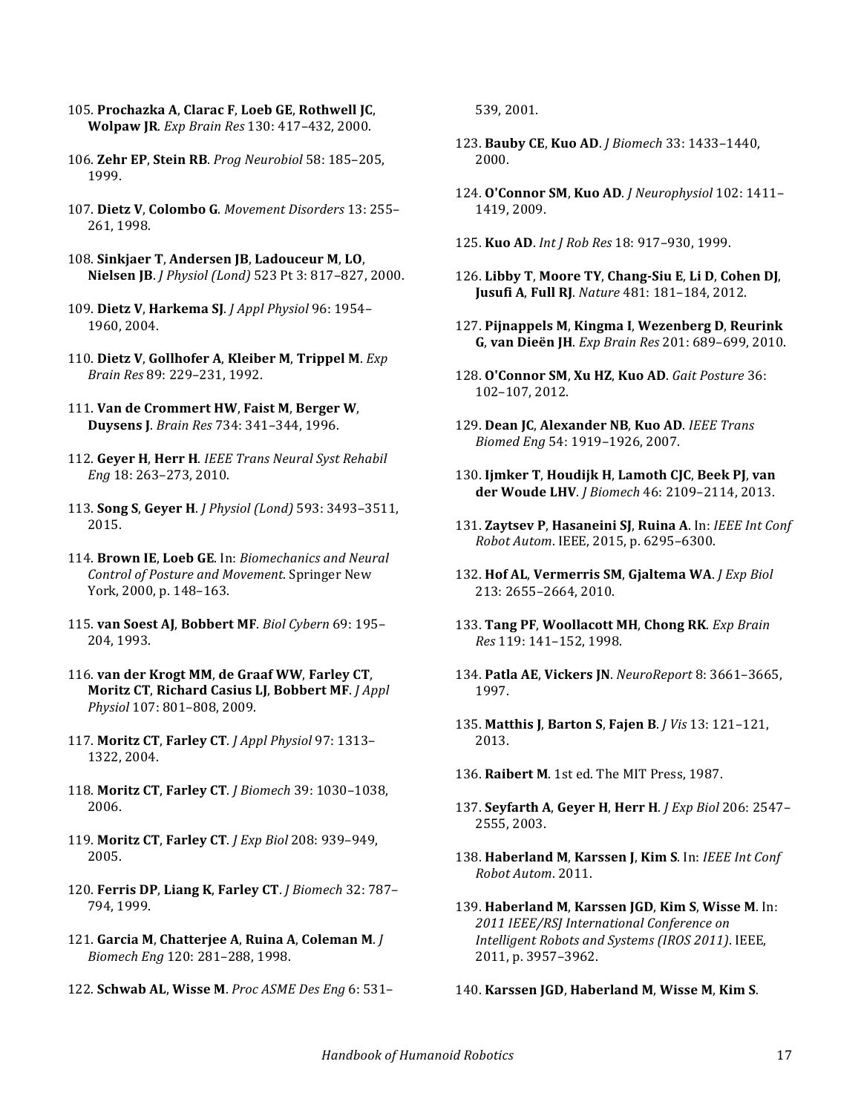- 105. Prochazka A, Clarac F, Loeb GE, Rothwell JC, **Wolpaw JR**. *Exp Brain Res* 130: 417–432, 2000.
- 106. **Zehr EP**, **Stein RB**. *Prog Neurobiol* 58: 185–205, 1999.
- 107. Dietz V, Colombo G. Movement Disorders 13: 255-261, 1998.
- 108. **Sinkjaer T**, **Andersen JB**, **Ladouceur M**, **LO**, **Nielsen JB**. *J Physiol (Lond)* 523 Pt 3: 817-827, 2000.
- 109. **Dietz V**, **Harkema SJ**. *J Appl Physiol* 96: 1954– 1960, 2004.
- 110. **Dietz V, Gollhofer A, Kleiber M, Trippel M.** *Exp Brain Res* 89: 229–231, 1992.
- 111. Van de Crommert HW, Faist M, Berger W, **Duysens J**. *Brain Res* 734: 341–344, 1996.
- 112. Gever H. Herr H. *IEEE Trans Neural Syst Rehabil Eng* 18: 263-273, 2010.
- 113. **Song S**, **Geyer H**. *J Physiol (Lond)* 593: 3493–3511, 2015.
- 114. Brown IE, Loeb GE. In: Biomechanics and Neural *Control of Posture and Movement*. Springer New York, 2000, p. 148-163.
- 115. **van Soest AJ**, **Bobbert MF**. *Biol Cybern* 69: 195– 204, 1993.
- 116. **van der Krogt MM**, **de Graaf WW**, **Farley CT**, **Moritz CT, Richard Casius LJ, Bobbert MF.** *J Appl Physiol* 107: 801–808, 2009.
- 117. Moritz CT, Farley CT. *J Appl Physiol* 97: 1313-1322, 2004.
- 118. Moritz CT, Farley CT. *| Biomech* 39: 1030-1038, 2006.
- 119. **Moritz CT**, **Farley CT**. *J Exp Biol* 208: 939–949, 2005.
- 120. **Ferris DP**, **Liang K**, **Farley CT**. *J Biomech* 32: 787– 794, 1999.
- 121. Garcia M, Chatterjee A, Ruina A, Coleman M. *J Biomech Eng* 120: 281–288, 1998.
- 122. Schwab AL, Wisse M. Proc ASME Des Eng 6: 531-

539, 2001.

- 123. **Bauby CE, Kuo AD.** *J Biomech* 33: 1433-1440, 2000.
- 124. **O'Connor SM, Kuo AD.** *J Neurophysiol* 102: 1411-1419, 2009.
- 125. **Kuo AD**. *Int J Rob Res* 18: 917–930, 1999.
- 126. **Libby T**, **Moore TY**, **Chang-Siu E**, **Li D**, **Cohen DJ**, **Jusufi A, Full RJ.** *Nature* 481: 181-184, 2012.
- 127. Pijnappels M, Kingma I, Wezenberg D, Reurink **G**, **van Dieën JH**. *Exp Brain Res* 201: 689–699, 2010.
- 128. **O'Connor SM, Xu HZ, Kuo AD**. Gait Posture 36: 102–107, 2012.
- 129. Dean JC, Alexander NB, Kuo AD. IEEE Trans *Biomed Eng* 54: 1919–1926, 2007.
- 130. **Ijmker T, Houdijk H, Lamoth CJC, Beek PJ, van der Woude LHV**. *J Biomech* 46: 2109–2114, 2013.
- 131. Zaytsev P, Hasaneini SJ, Ruina A. In: IEEE Int Conf *Robot Autom*. IEEE, 2015, p. 6295–6300.
- 132. **Hof AL, Vermerris SM, Gjaltema WA.** *J Exp Biol* 213: 2655–2664, 2010.
- 133. Tang PF, Woollacott MH, Chong RK. Exp Brain *Res* 119: 141–152, 1998.
- 134. **Patla AE**, **Vickers JN**. *NeuroReport* 8: 3661–3665, 1997.
- 135. **Matthis J, Barton S, Fajen B**. *J Vis* 13: 121-121, 2013.
- 136. Raibert M. 1st ed. The MIT Press, 1987.
- 137. **Seyfarth A, Geyer H, Herr H.** *J Exp Biol* 206: 2547– 2555, 2003.
- 138. **Haberland M, Karssen J, Kim S.** In: IEEE Int Conf *Robot Autom*. 2011.
- 139. **Haberland M, Karssen JGD, Kim S, Wisse M. In:** *2011 IEEE/RSJ International Conference on Intelligent Robots and Systems (IROS 2011)*. IEEE, 2011, p. 3957-3962.
- 140. Karssen JGD, Haberland M, Wisse M, Kim S.